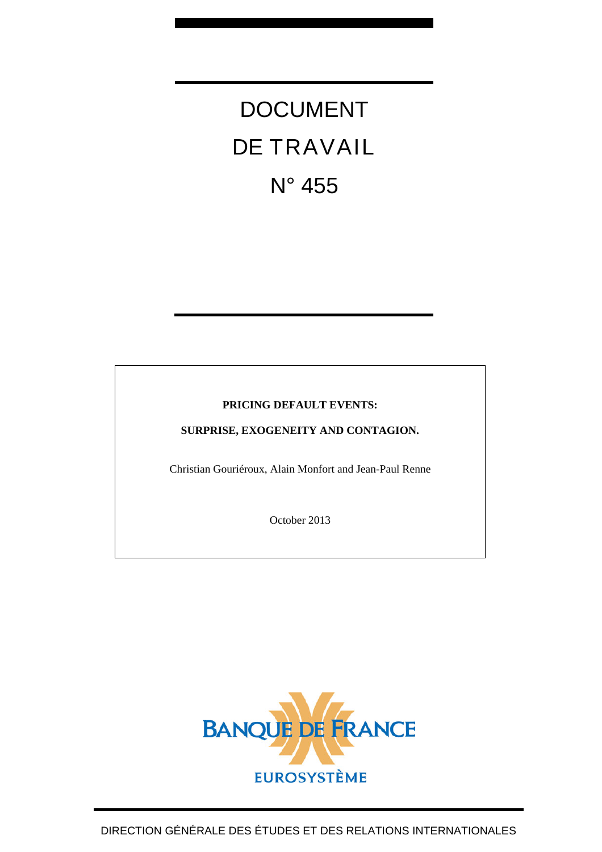# DOCUMENT DE TRAVAIL N° 455

#### **PRICING DEFAULT EVENTS:**

#### **SURPRISE, EXOGENEITY AND CONTAGION.**

Christian Gouriéroux, Alain Monfort and Jean-Paul Renne

October 2013

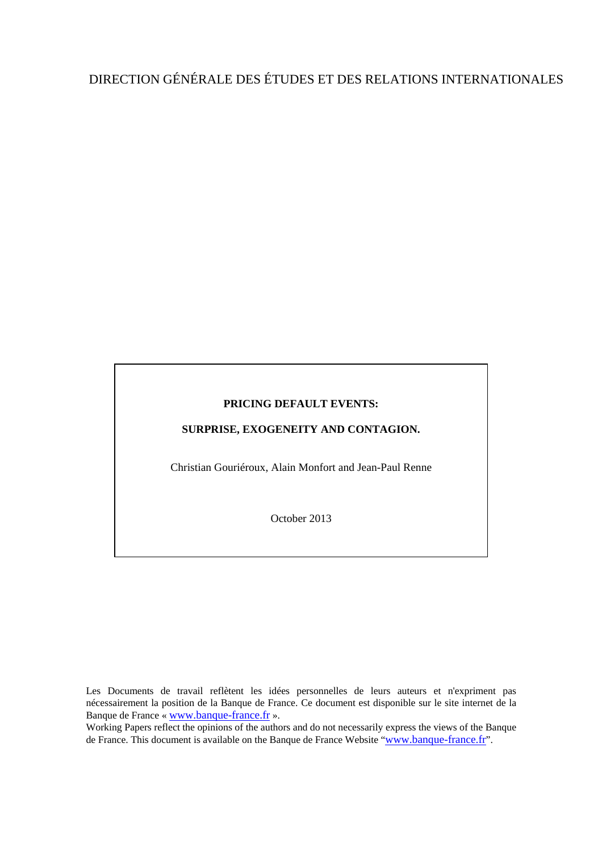## DIRECTION GÉNÉRALE DES ÉTUDES ET DES RELATIONS INTERNATIONALES

#### **PRICING DEFAULT EVENTS:**

#### **SURPRISE, EXOGENEITY AND CONTAGION.**

Christian Gouriéroux, Alain Monfort and Jean-Paul Renne

October 2013

Les Documents de travail reflètent les idées personnelles de leurs auteurs et n'expriment pas nécessairement la position de la Banque de France. Ce document est disponible sur le site internet de la Banque de France « [www.banque-france.fr](http://www.banque-france.fr/) ».

Working Papers reflect the opinions of the authors and do not necessarily express the views of the Banque de France. This document is available on the Banque de France Website "[www.banque-france.fr](http://www.banque-france.fr/)".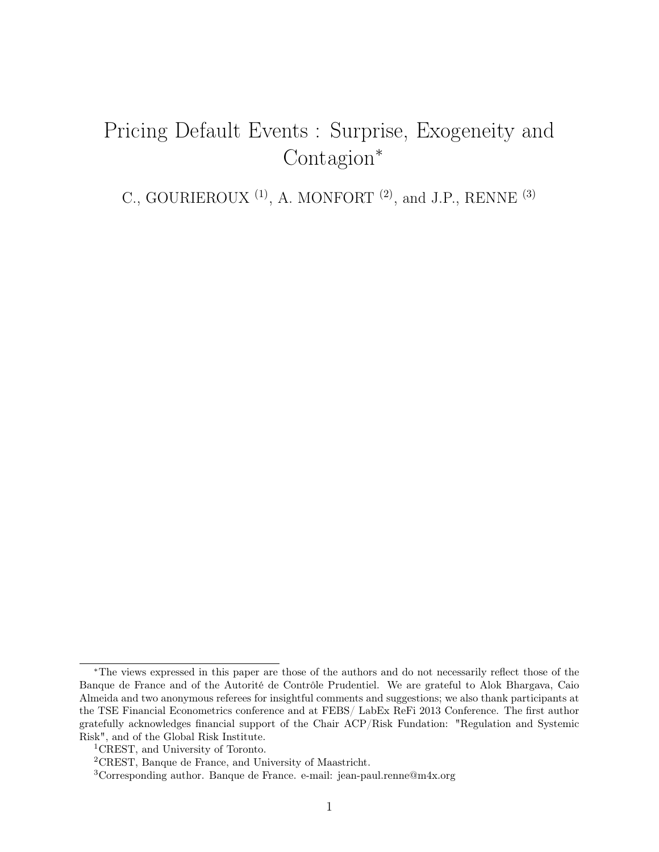## Pricing Default Events : Surprise, Exogeneity and Contagion<sup>∗</sup>

C., GOURIEROUX  $(1)$ , A. MONFORT  $(2)$ , and J.P., RENNE  $(3)$ 

<sup>∗</sup>The views expressed in this paper are those of the authors and do not necessarily reflect those of the Banque de France and of the Autorité de Contrôle Prudentiel. We are grateful to Alok Bhargava, Caio Almeida and two anonymous referees for insightful comments and suggestions; we also thank participants at the TSE Financial Econometrics conference and at FEBS/ LabEx ReFi 2013 Conference. The first author gratefully acknowledges financial support of the Chair ACP/Risk Fundation: "Regulation and Systemic Risk", and of the Global Risk Institute.

<sup>&</sup>lt;sup>1</sup>CREST, and University of Toronto.

<sup>2</sup>CREST, Banque de France, and University of Maastricht.

<sup>3</sup>Corresponding author. Banque de France. e-mail: jean-paul.renne@m4x.org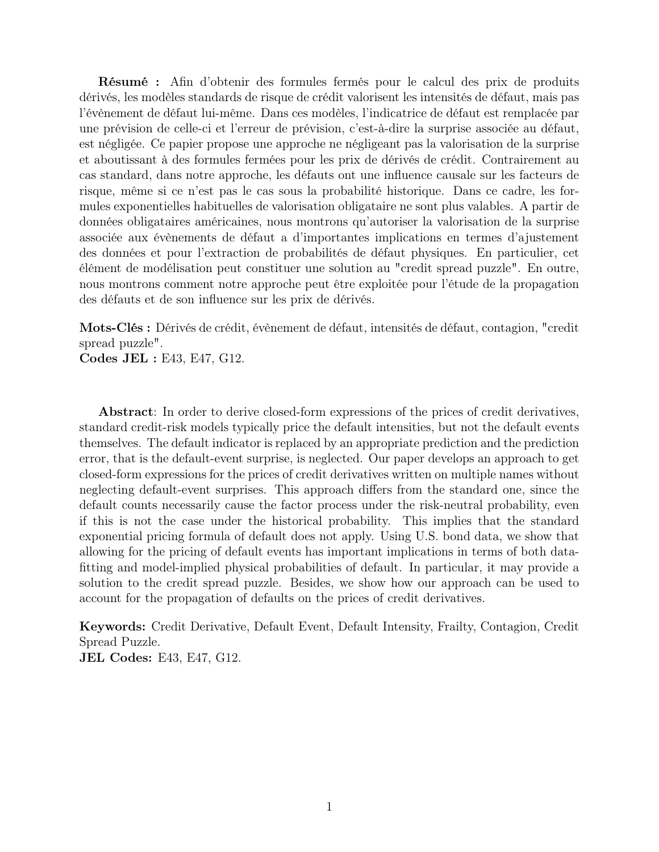Résumé : Afin d'obtenir des formules fermés pour le calcul des prix de produits dérivés, les modèles standards de risque de crédit valorisent les intensités de défaut, mais pas l'évènement de défaut lui-même. Dans ces modèles, l'indicatrice de défaut est remplacée par une prévision de celle-ci et l'erreur de prévision, c'est-à-dire la surprise associée au défaut, est négligée. Ce papier propose une approche ne négligeant pas la valorisation de la surprise et aboutissant à des formules fermées pour les prix de dérivés de crédit. Contrairement au cas standard, dans notre approche, les défauts ont une influence causale sur les facteurs de risque, même si ce n'est pas le cas sous la probabilité historique. Dans ce cadre, les formules exponentielles habituelles de valorisation obligataire ne sont plus valables. A partir de données obligataires américaines, nous montrons qu'autoriser la valorisation de la surprise associée aux évènements de défaut a d'importantes implications en termes d'ajustement des données et pour l'extraction de probabilités de défaut physiques. En particulier, cet élément de modélisation peut constituer une solution au "credit spread puzzle". En outre, nous montrons comment notre approche peut être exploitée pour l'étude de la propagation des défauts et de son influence sur les prix de dérivés.

Mots-Clés : Dérivés de crédit, évènement de défaut, intensités de défaut, contagion, "credit spread puzzle".

Codes JEL : E43, E47, G12.

Abstract: In order to derive closed-form expressions of the prices of credit derivatives, standard credit-risk models typically price the default intensities, but not the default events themselves. The default indicator is replaced by an appropriate prediction and the prediction error, that is the default-event surprise, is neglected. Our paper develops an approach to get closed-form expressions for the prices of credit derivatives written on multiple names without neglecting default-event surprises. This approach differs from the standard one, since the default counts necessarily cause the factor process under the risk-neutral probability, even if this is not the case under the historical probability. This implies that the standard exponential pricing formula of default does not apply. Using U.S. bond data, we show that allowing for the pricing of default events has important implications in terms of both datafitting and model-implied physical probabilities of default. In particular, it may provide a solution to the credit spread puzzle. Besides, we show how our approach can be used to account for the propagation of defaults on the prices of credit derivatives.

Keywords: Credit Derivative, Default Event, Default Intensity, Frailty, Contagion, Credit Spread Puzzle.

JEL Codes: E43, E47, G12.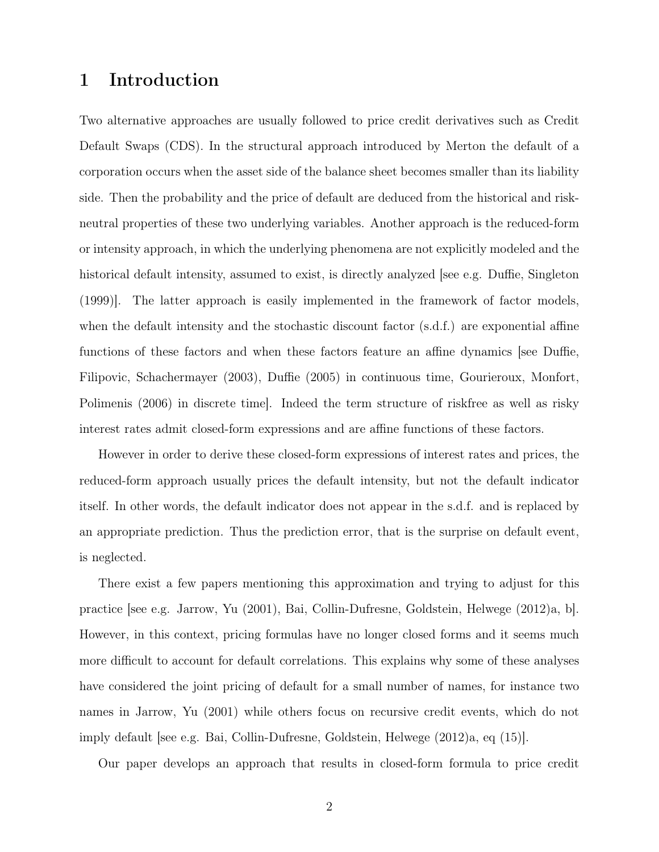## 1 Introduction

Two alternative approaches are usually followed to price credit derivatives such as Credit Default Swaps (CDS). In the structural approach introduced by Merton the default of a corporation occurs when the asset side of the balance sheet becomes smaller than its liability side. Then the probability and the price of default are deduced from the historical and riskneutral properties of these two underlying variables. Another approach is the reduced-form or intensity approach, in which the underlying phenomena are not explicitly modeled and the historical default intensity, assumed to exist, is directly analyzed [see e.g. Duffie, Singleton (1999)]. The latter approach is easily implemented in the framework of factor models, when the default intensity and the stochastic discount factor (s.d.f.) are exponential affine functions of these factors and when these factors feature an affine dynamics [see Duffie, Filipovic, Schachermayer (2003), Duffie (2005) in continuous time, Gourieroux, Monfort, Polimenis (2006) in discrete time]. Indeed the term structure of riskfree as well as risky interest rates admit closed-form expressions and are affine functions of these factors.

However in order to derive these closed-form expressions of interest rates and prices, the reduced-form approach usually prices the default intensity, but not the default indicator itself. In other words, the default indicator does not appear in the s.d.f. and is replaced by an appropriate prediction. Thus the prediction error, that is the surprise on default event, is neglected.

There exist a few papers mentioning this approximation and trying to adjust for this practice [see e.g. Jarrow, Yu (2001), Bai, Collin-Dufresne, Goldstein, Helwege (2012)a, b]. However, in this context, pricing formulas have no longer closed forms and it seems much more difficult to account for default correlations. This explains why some of these analyses have considered the joint pricing of default for a small number of names, for instance two names in Jarrow, Yu (2001) while others focus on recursive credit events, which do not imply default [see e.g. Bai, Collin-Dufresne, Goldstein, Helwege (2012)a, eq (15)].

Our paper develops an approach that results in closed-form formula to price credit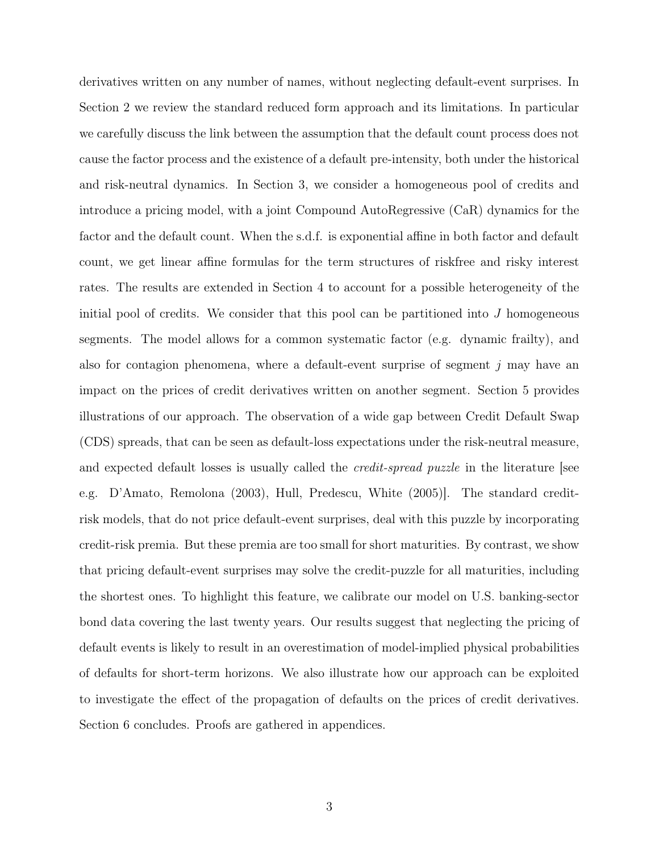derivatives written on any number of names, without neglecting default-event surprises. In Section 2 we review the standard reduced form approach and its limitations. In particular we carefully discuss the link between the assumption that the default count process does not cause the factor process and the existence of a default pre-intensity, both under the historical and risk-neutral dynamics. In Section 3, we consider a homogeneous pool of credits and introduce a pricing model, with a joint Compound AutoRegressive (CaR) dynamics for the factor and the default count. When the s.d.f. is exponential affine in both factor and default count, we get linear affine formulas for the term structures of riskfree and risky interest rates. The results are extended in Section 4 to account for a possible heterogeneity of the initial pool of credits. We consider that this pool can be partitioned into  $J$  homogeneous segments. The model allows for a common systematic factor (e.g. dynamic frailty), and also for contagion phenomena, where a default-event surprise of segment  $j$  may have an impact on the prices of credit derivatives written on another segment. Section 5 provides illustrations of our approach. The observation of a wide gap between Credit Default Swap (CDS) spreads, that can be seen as default-loss expectations under the risk-neutral measure, and expected default losses is usually called the *credit-spread puzzle* in the literature [see e.g. D'Amato, Remolona (2003), Hull, Predescu, White (2005)]. The standard creditrisk models, that do not price default-event surprises, deal with this puzzle by incorporating credit-risk premia. But these premia are too small for short maturities. By contrast, we show that pricing default-event surprises may solve the credit-puzzle for all maturities, including the shortest ones. To highlight this feature, we calibrate our model on U.S. banking-sector bond data covering the last twenty years. Our results suggest that neglecting the pricing of default events is likely to result in an overestimation of model-implied physical probabilities of defaults for short-term horizons. We also illustrate how our approach can be exploited to investigate the effect of the propagation of defaults on the prices of credit derivatives. Section 6 concludes. Proofs are gathered in appendices.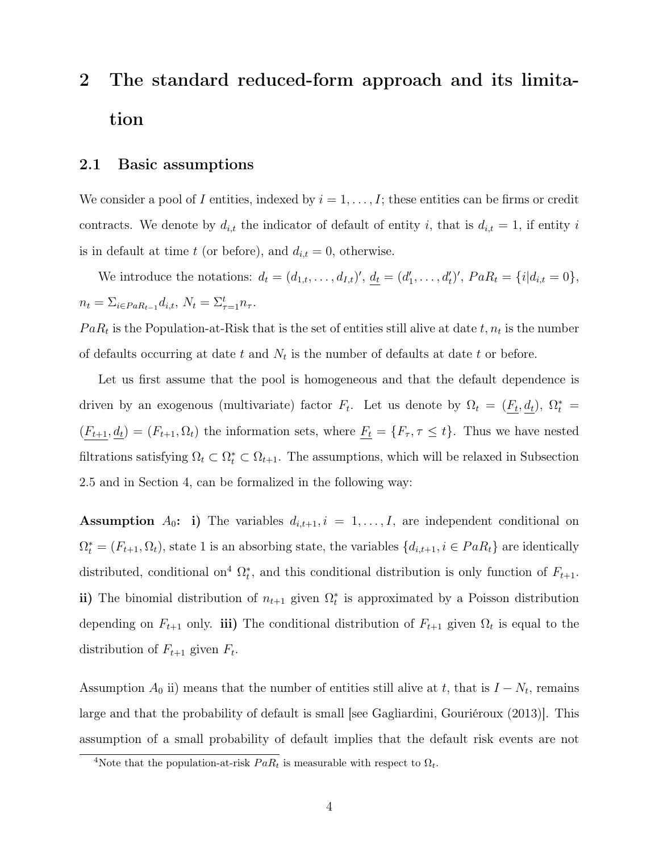## 2 The standard reduced-form approach and its limitation

#### 2.1 Basic assumptions

We consider a pool of I entities, indexed by  $i = 1, \ldots, I$ ; these entities can be firms or credit contracts. We denote by  $d_{i,t}$  the indicator of default of entity i, that is  $d_{i,t} = 1$ , if entity i is in default at time t (or before), and  $d_{i,t} = 0$ , otherwise.

We introduce the notations:  $d_t = (d_{1,t}, \ldots, d_{I,t})'$ ,  $\underline{d_t} = (d'_1, \ldots, d'_t)'$ ,  $PaR_t = \{i | d_{i,t} = 0\}$ ,  $n_t = \sum_{i \in PaR_{t-1}} d_{i,t}, N_t = \sum_{\tau=1}^t n_{\tau}.$ 

 $PaR_t$  is the Population-at-Risk that is the set of entities still alive at date  $t, n_t$  is the number of defaults occurring at date t and  $N_t$  is the number of defaults at date t or before.

Let us first assume that the pool is homogeneous and that the default dependence is driven by an exogenous (multivariate) factor  $F_t$ . Let us denote by  $\Omega_t = (\underline{F_t}, \underline{d_t})$ ,  $\Omega_t^* =$  $(\underline{F_{t+1}}, \underline{d_t}) = (F_{t+1}, \Omega_t)$  the information sets, where  $\underline{F_t} = \{F_{\tau}, \tau \leq t\}$ . Thus we have nested filtrations satisfying  $\Omega_t \subset \Omega_t^* \subset \Omega_{t+1}$ . The assumptions, which will be relaxed in Subsection 2.5 and in Section 4, can be formalized in the following way:

**Assumption**  $A_0$ : i) The variables  $d_{i,t+1}$ ,  $i = 1, ..., I$ , are independent conditional on  $\Omega_t^* = (F_{t+1}, \Omega_t)$ , state 1 is an absorbing state, the variables  $\{d_{i,t+1}, i \in PaR_t\}$  are identically distributed, conditional on<sup>4</sup>  $\Omega_t^*$ , and this conditional distribution is only function of  $F_{t+1}$ . ii) The binomial distribution of  $n_{t+1}$  given  $\Omega_t^*$  is approximated by a Poisson distribution depending on  $F_{t+1}$  only. iii) The conditional distribution of  $F_{t+1}$  given  $\Omega_t$  is equal to the distribution of  $F_{t+1}$  given  $F_t$ .

Assumption  $A_0$  ii) means that the number of entities still alive at t, that is  $I - N_t$ , remains large and that the probability of default is small [see Gagliardini, Gouriéroux (2013)]. This assumption of a small probability of default implies that the default risk events are not

 $^4\rm{Note}$  that the population-at-risk  $PaR_t$  is measurable with respect to  $\Omega_t.$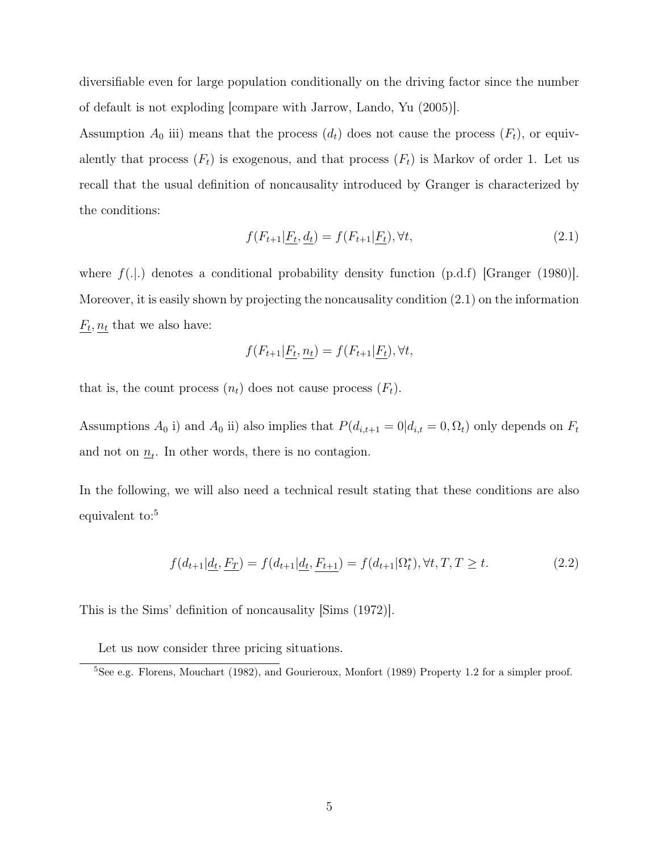diversifiable even for large population conditionally on the driving factor since the number of default is not exploding [compare with Jarrow, Lando, Yu (2005)].

Assumption  $A_0$  iii) means that the process  $(d_t)$  does not cause the process  $(F_t)$ , or equivalently that process  $(F_t)$  is exogenous, and that process  $(F_t)$  is Markov of order 1. Let us recall that the usual definition of noncausality introduced by Granger is characterized by the conditions:

$$
f(F_{t+1} | \underline{F_t}, \underline{d_t}) = f(F_{t+1} | \underline{F_t}), \forall t,
$$
\n(2.1)

where  $f(.|.)$  denotes a conditional probability density function  $(p.d.f)$  [Granger (1980)]. Moreover, it is easily shown by projecting the noncausality condition (2.1) on the information  $F_t$ ,  $n_t$  that we also have:

$$
f(F_{t+1}|\underline{F_t}, \underline{n_t}) = f(F_{t+1}|\underline{F_t}), \forall t,
$$

that is, the count process  $(n_t)$  does not cause process  $(F_t)$ .

Assumptions  $A_0$  i) and  $A_0$  ii) also implies that  $P(d_{i,t+1} = 0|d_{i,t} = 0, \Omega_t)$  only depends on  $F_t$ and not on  $\underline{n}_t$ . In other words, there is no contagion.

In the following, we will also need a technical result stating that these conditions are also equivalent to:<sup>5</sup>

$$
f(d_{t+1}|\underline{d_t}, \underline{F_T}) = f(d_{t+1}|\underline{d_t}, \underline{F_{t+1}}) = f(d_{t+1}|\Omega_t^*), \forall t, T, T \ge t.
$$
\n(2.2)

This is the Sims' definition of noncausality [Sims (1972)].

Let us now consider three pricing situations.

<sup>&</sup>lt;sup>5</sup>See e.g. Florens, Mouchart (1982), and Gourieroux, Monfort (1989) Property 1.2 for a simpler proof.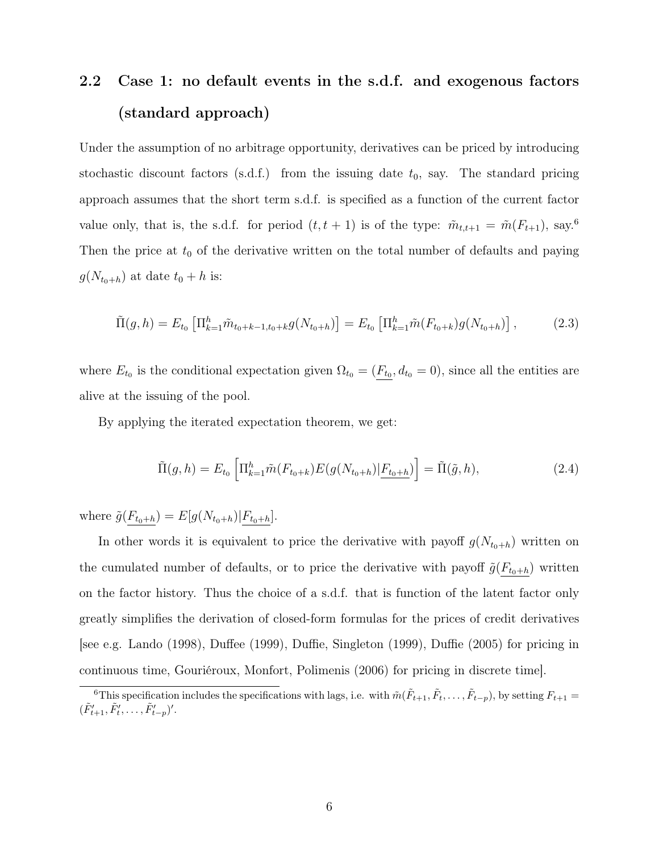## 2.2 Case 1: no default events in the s.d.f. and exogenous factors (standard approach)

Under the assumption of no arbitrage opportunity, derivatives can be priced by introducing stochastic discount factors (s.d.f.) from the issuing date  $t_0$ , say. The standard pricing approach assumes that the short term s.d.f. is specified as a function of the current factor value only, that is, the s.d.f. for period  $(t, t + 1)$  is of the type:  $\tilde{m}_{t,t+1} = \tilde{m}(F_{t+1})$ , say.<sup>6</sup> Then the price at  $t_0$  of the derivative written on the total number of defaults and paying  $g(N_{t_0+h})$  at date  $t_0+h$  is:

$$
\tilde{\Pi}(g,h) = E_{t_0} \left[ \Pi_{k=1}^h \tilde{m}_{t_0+k-1,t_0+k} g(N_{t_0+h}) \right] = E_{t_0} \left[ \Pi_{k=1}^h \tilde{m}(F_{t_0+k}) g(N_{t_0+h}) \right],
$$
\n(2.3)

where  $E_{t_0}$  is the conditional expectation given  $\Omega_{t_0} = (F_{t_0}, d_{t_0} = 0)$ , since all the entities are alive at the issuing of the pool.

By applying the iterated expectation theorem, we get:

$$
\tilde{\Pi}(g,h) = E_{t_0} \left[ \Pi_{k=1}^h \tilde{m}(F_{t_0+k}) E(g(N_{t_0+h}) | \underline{F_{t_0+h}}) \right] = \tilde{\Pi}(\tilde{g},h), \tag{2.4}
$$

where  $\tilde{g}(\underline{F_{t_0+h}}) = E[g(N_{t_0+h})|\underline{F_{t_0+h}}]$ .

In other words it is equivalent to price the derivative with payoff  $g(N_{t_0+h})$  written on the cumulated number of defaults, or to price the derivative with payoff  $\tilde{g}(F_{t_0+h})$  written on the factor history. Thus the choice of a s.d.f. that is function of the latent factor only greatly simplifies the derivation of closed-form formulas for the prices of credit derivatives [see e.g. Lando (1998), Duffee (1999), Duffie, Singleton (1999), Duffie (2005) for pricing in continuous time, Gouriéroux, Monfort, Polimenis (2006) for pricing in discrete time].

<sup>&</sup>lt;sup>6</sup>This specification includes the specifications with lags, i.e. with  $\tilde{m}(\tilde{F}_{t+1}, \tilde{F}_t, \ldots, \tilde{F}_{t-p})$ , by setting  $F_{t+1} =$  $(\tilde{F}'_{t+1}, \tilde{F}'_t, \ldots, \tilde{F}'_{t-p})'.$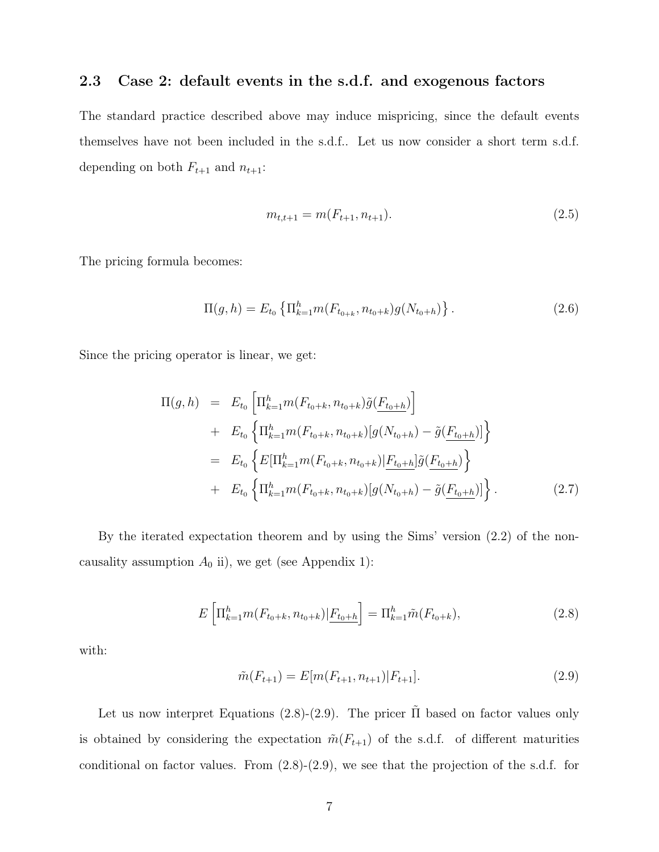#### 2.3 Case 2: default events in the s.d.f. and exogenous factors

The standard practice described above may induce mispricing, since the default events themselves have not been included in the s.d.f.. Let us now consider a short term s.d.f. depending on both  $F_{t+1}$  and  $n_{t+1}$ :

$$
m_{t,t+1} = m(F_{t+1}, n_{t+1}).
$$
\n(2.5)

The pricing formula becomes:

$$
\Pi(g, h) = E_{t_0} \left\{ \Pi_{k=1}^h m(F_{t_{0+k}}, n_{t_0+k}) g(N_{t_0+h}) \right\}.
$$
\n(2.6)

Since the pricing operator is linear, we get:

$$
\Pi(g, h) = E_{t_0} \left[ \Pi_{k=1}^h m(F_{t_0+k}, n_{t_0+k}) \tilde{g}(F_{t_0+h}) \right] \n+ E_{t_0} \left\{ \Pi_{k=1}^h m(F_{t_0+k}, n_{t_0+k}) [g(N_{t_0+h}) - \tilde{g}(F_{t_0+h})] \right\} \n= E_{t_0} \left\{ E[\Pi_{k=1}^h m(F_{t_0+k}, n_{t_0+k}) | F_{t_0+h}] \tilde{g}(F_{t_0+h}) \right\} \n+ E_{t_0} \left\{ \Pi_{k=1}^h m(F_{t_0+k}, n_{t_0+k}) [g(N_{t_0+h}) - \tilde{g}(F_{t_0+h})] \right\}.
$$
\n(2.7)

By the iterated expectation theorem and by using the Sims' version (2.2) of the noncausality assumption  $A_0$  ii), we get (see Appendix 1):

$$
E\left[\Pi_{k=1}^{h} m(F_{t_0+k}, n_{t_0+k}) | \underline{F_{t_0+h}}\right] = \Pi_{k=1}^{h} \tilde{m}(F_{t_0+k}),\tag{2.8}
$$

with:

$$
\tilde{m}(F_{t+1}) = E[m(F_{t+1}, n_{t+1}) | F_{t+1}]. \tag{2.9}
$$

Let us now interpret Equations  $(2.8)-(2.9)$ . The pricer  $\Pi$  based on factor values only is obtained by considering the expectation  $\tilde{m}(F_{t+1})$  of the s.d.f. of different maturities conditional on factor values. From  $(2.8)-(2.9)$ , we see that the projection of the s.d.f. for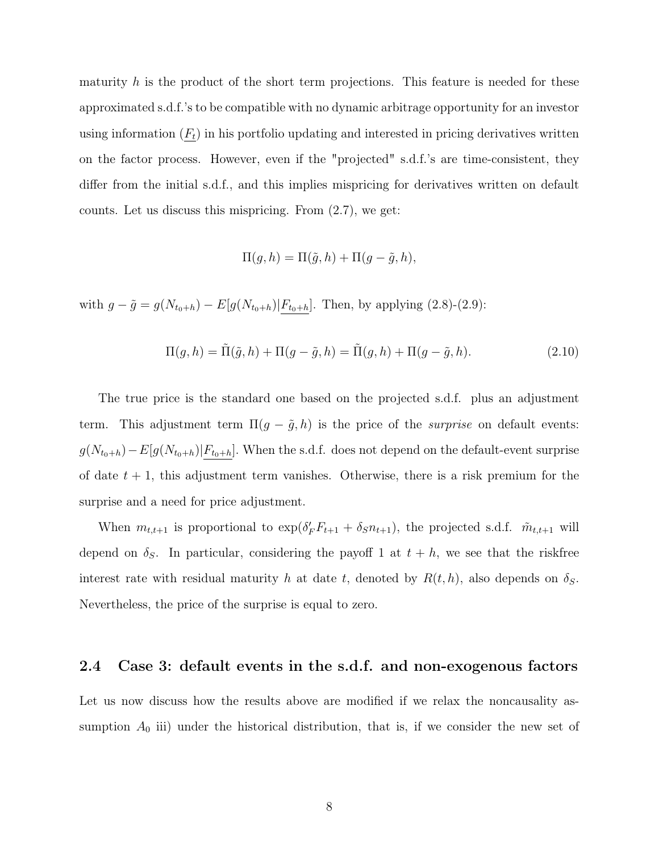maturity  $h$  is the product of the short term projections. This feature is needed for these approximated s.d.f.'s to be compatible with no dynamic arbitrage opportunity for an investor using information  $(F_t)$  in his portfolio updating and interested in pricing derivatives written on the factor process. However, even if the "projected" s.d.f.'s are time-consistent, they differ from the initial s.d.f., and this implies mispricing for derivatives written on default counts. Let us discuss this mispricing. From (2.7), we get:

$$
\Pi(g, h) = \Pi(\tilde{g}, h) + \Pi(g - \tilde{g}, h),
$$

with  $g - \tilde{g} = g(N_{t_0+h}) - E[g(N_{t_0+h})|\underline{F_{t_0+h}}]$ . Then, by applying (2.8)-(2.9):

$$
\Pi(g, h) = \tilde{\Pi}(\tilde{g}, h) + \Pi(g - \tilde{g}, h) = \tilde{\Pi}(g, h) + \Pi(g - \tilde{g}, h).
$$
\n(2.10)

The true price is the standard one based on the projected s.d.f. plus an adjustment term. This adjustment term  $\Pi(g - \tilde{g}, h)$  is the price of the *surprise* on default events:  $g(N_{t_0+h})-E[g(N_{t_0+h})|\underline{F_{t_0+h}}]$ . When the s.d.f. does not depend on the default-event surprise of date  $t + 1$ , this adjustment term vanishes. Otherwise, there is a risk premium for the surprise and a need for price adjustment.

When  $m_{t,t+1}$  is proportional to  $\exp(\delta_F F_{t+1} + \delta_S n_{t+1})$ , the projected s.d.f.  $\tilde{m}_{t,t+1}$  will depend on  $\delta_S$ . In particular, considering the payoff 1 at  $t + h$ , we see that the riskfree interest rate with residual maturity h at date t, denoted by  $R(t, h)$ , also depends on  $\delta_S$ . Nevertheless, the price of the surprise is equal to zero.

#### 2.4 Case 3: default events in the s.d.f. and non-exogenous factors

Let us now discuss how the results above are modified if we relax the noncausality assumption  $A_0$  iii) under the historical distribution, that is, if we consider the new set of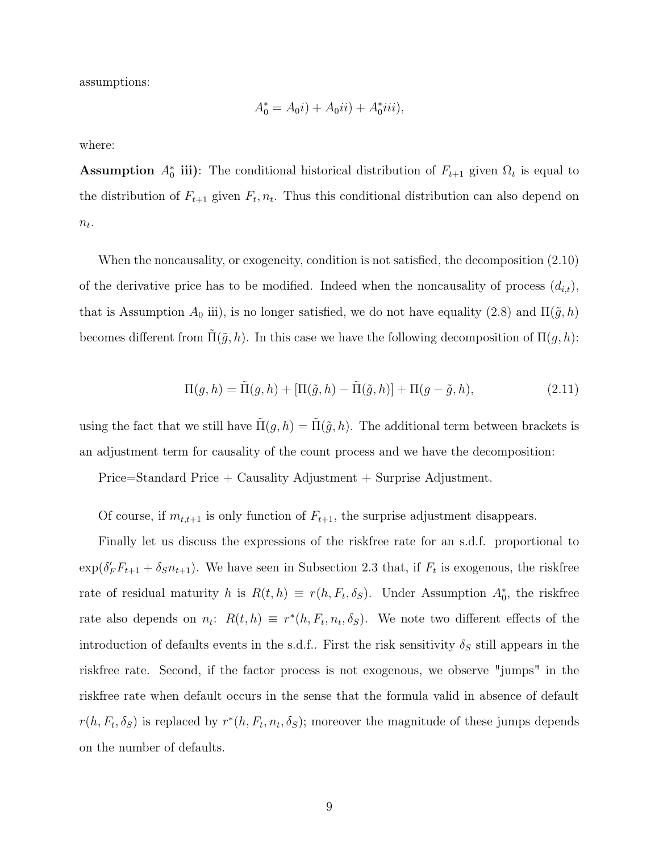assumptions:

$$
A_0^* = A_0 i) + A_0 i i) + A_0^* i i i),
$$

where:

Assumption  $A_0^*$  iii): The conditional historical distribution of  $F_{t+1}$  given  $\Omega_t$  is equal to the distribution of  $F_{t+1}$  given  $F_t$ ,  $n_t$ . Thus this conditional distribution can also depend on  $n_t$ .

When the noncausality, or exogeneity, condition is not satisfied, the decomposition (2.10) of the derivative price has to be modified. Indeed when the noncausality of process  $(d_{i,t})$ , that is Assumption  $A_0$  iii), is no longer satisfied, we do not have equality (2.8) and  $\Pi(\tilde{g}, h)$ becomes different from  $\Pi(\tilde{q}, h)$ . In this case we have the following decomposition of  $\Pi(q, h)$ :

$$
\Pi(g, h) = \tilde{\Pi}(g, h) + [\Pi(\tilde{g}, h) - \tilde{\Pi}(\tilde{g}, h)] + \Pi(g - \tilde{g}, h),
$$
\n(2.11)

using the fact that we still have  $\Pi(g, h) = \Pi(\tilde{g}, h)$ . The additional term between brackets is an adjustment term for causality of the count process and we have the decomposition:

 $Price = Standard Price + Causality Adjustment + Surprise Adjustment.$ 

Of course, if  $m_{t,t+1}$  is only function of  $F_{t+1}$ , the surprise adjustment disappears.

Finally let us discuss the expressions of the riskfree rate for an s.d.f. proportional to  $\exp(\delta_F' F_{t+1} + \delta_S n_{t+1})$ . We have seen in Subsection 2.3 that, if  $F_t$  is exogenous, the riskfree rate of residual maturity h is  $R(t, h) \equiv r(h, F_t, \delta_S)$ . Under Assumption  $A_0^*$ , the riskfree rate also depends on  $n_t$ :  $R(t, h) \equiv r^*(h, F_t, n_t, \delta_S)$ . We note two different effects of the introduction of defaults events in the s.d.f.. First the risk sensitivity  $\delta_S$  still appears in the riskfree rate. Second, if the factor process is not exogenous, we observe "jumps" in the riskfree rate when default occurs in the sense that the formula valid in absence of default  $r(h, F_t, \delta_S)$  is replaced by  $r^*(h, F_t, n_t, \delta_S)$ ; moreover the magnitude of these jumps depends on the number of defaults.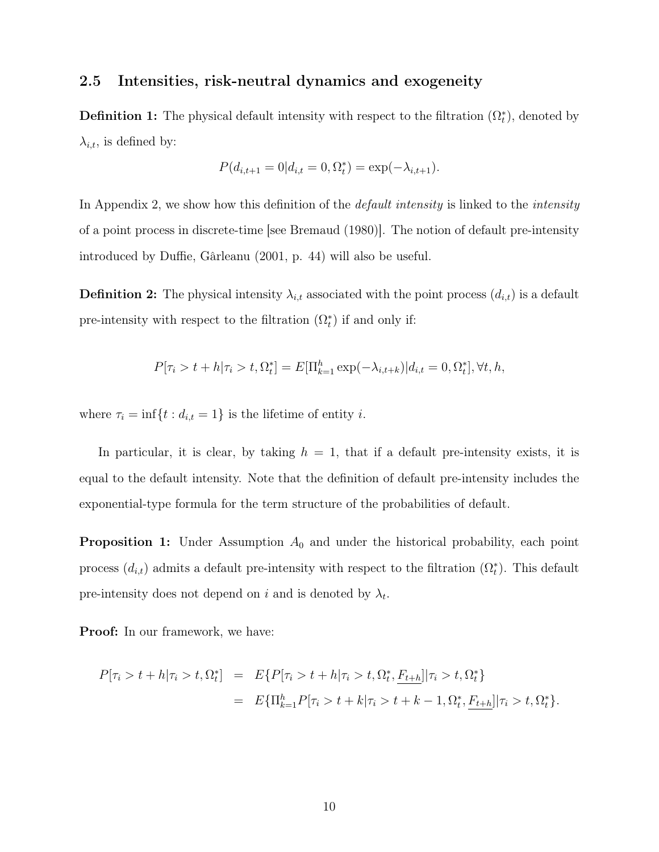#### 2.5 Intensities, risk-neutral dynamics and exogeneity

**Definition 1:** The physical default intensity with respect to the filtration  $(\Omega_t^*)$ , denoted by  $\lambda_{i,t}$ , is defined by:

$$
P(d_{i,t+1} = 0|d_{i,t} = 0, \Omega_t^*) = \exp(-\lambda_{i,t+1}).
$$

In Appendix 2, we show how this definition of the *default intensity* is linked to the *intensity* of a point process in discrete-time [see Bremaud (1980)]. The notion of default pre-intensity introduced by Duffie, Gârleanu (2001, p. 44) will also be useful.

**Definition 2:** The physical intensity  $\lambda_{i,t}$  associated with the point process  $(d_{i,t})$  is a default pre-intensity with respect to the filtration  $(\Omega_t^*)$  if and only if:

$$
P[\tau_i > t + h | \tau_i > t, \Omega_t^*] = E[\Pi_{k=1}^h \exp(-\lambda_{i,t+k}) | d_{i,t} = 0, \Omega_t^*], \forall t, h,
$$

where  $\tau_i = \inf\{t : d_{i,t} = 1\}$  is the lifetime of entity *i*.

In particular, it is clear, by taking  $h = 1$ , that if a default pre-intensity exists, it is equal to the default intensity. Note that the definition of default pre-intensity includes the exponential-type formula for the term structure of the probabilities of default.

**Proposition 1:** Under Assumption  $A_0$  and under the historical probability, each point process  $(d_{i,t})$  admits a default pre-intensity with respect to the filtration  $(\Omega_t^*)$ . This default pre-intensity does not depend on i and is denoted by  $\lambda_t$ .

Proof: In our framework, we have:

$$
P[\tau_i > t + h | \tau_i > t, \Omega_t^*] = E\{P[\tau_i > t + h | \tau_i > t, \Omega_t^*, \underline{F_{t+h}}] | \tau_i > t, \Omega_t^*\}
$$
  
= 
$$
E\{\Pi_{k=1}^h P[\tau_i > t + k | \tau_i > t + k - 1, \Omega_t^*, \underline{F_{t+h}}] | \tau_i > t, \Omega_t^*\}.
$$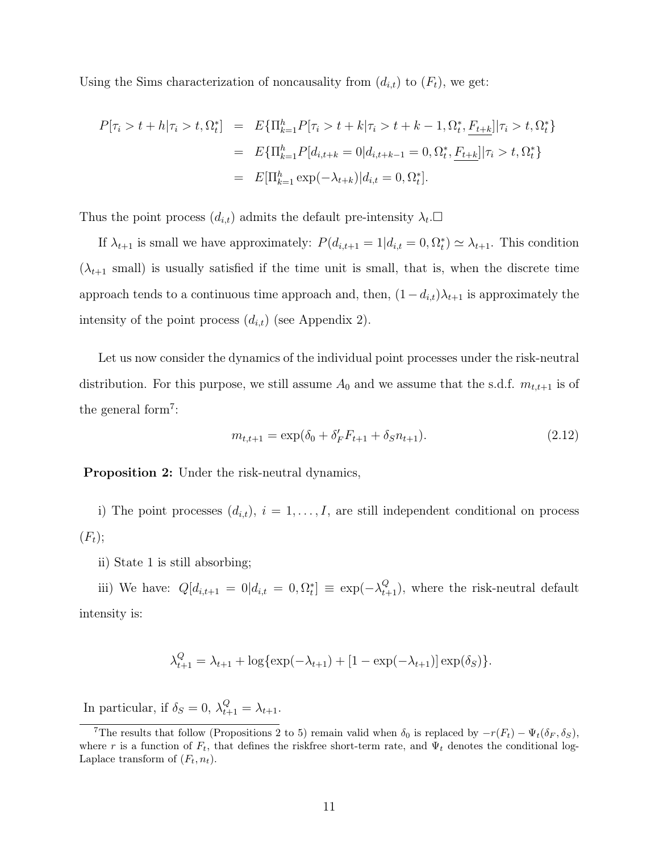Using the Sims characterization of noncausality from  $(d_{i,t})$  to  $(F_t)$ , we get:

$$
P[\tau_i > t + h | \tau_i > t, \Omega_t^*] = E\{\Pi_{k=1}^h P[\tau_i > t + k | \tau_i > t + k - 1, \Omega_t^*, \underline{F_{t+k}}] | \tau_i > t, \Omega_t^*\}
$$
  

$$
= E\{\Pi_{k=1}^h P[d_{i,t+k} = 0 | d_{i,t+k-1} = 0, \Omega_t^*, \underline{F_{t+k}}] | \tau_i > t, \Omega_t^*\}
$$
  

$$
= E[\Pi_{k=1}^h \exp(-\lambda_{t+k}) | d_{i,t} = 0, \Omega_t^*].
$$

Thus the point process  $(d_{i,t})$  admits the default pre-intensity  $\lambda_t$ .

If  $\lambda_{t+1}$  is small we have approximately:  $P(d_{i,t+1} = 1 | d_{i,t} = 0, \Omega_t^*) \simeq \lambda_{t+1}$ . This condition  $(\lambda_{t+1}$  small) is usually satisfied if the time unit is small, that is, when the discrete time approach tends to a continuous time approach and, then,  $(1-d_{i,t})\lambda_{t+1}$  is approximately the intensity of the point process  $(d_{i,t})$  (see Appendix 2).

Let us now consider the dynamics of the individual point processes under the risk-neutral distribution. For this purpose, we still assume  $A_0$  and we assume that the s.d.f.  $m_{t,t+1}$  is of the general form<sup>7</sup>:

$$
m_{t,t+1} = \exp(\delta_0 + \delta'_F F_{t+1} + \delta_S n_{t+1}). \tag{2.12}
$$

Proposition 2: Under the risk-neutral dynamics,

i) The point processes  $(d_{i,t}), i = 1, \ldots, I$ , are still independent conditional on process  $(F_t);$ 

ii) State 1 is still absorbing;

iii) We have:  $Q[d_{i,t+1} = 0]d_{i,t} = 0, \Omega_t^* \equiv \exp(-\lambda_{t+1}^Q)$ , where the risk-neutral default intensity is:

$$
\lambda_{t+1}^Q = \lambda_{t+1} + \log \{ \exp(-\lambda_{t+1}) + [1 - \exp(-\lambda_{t+1})] \exp(\delta_S) \}.
$$

In particular, if  $\delta_S = 0$ ,  $\lambda_{t+1}^Q = \lambda_{t+1}$ .

<sup>&</sup>lt;sup>7</sup>The results that follow (Propositions 2 to 5) remain valid when  $\delta_0$  is replaced by  $-r(F_t) - \Psi_t(\delta_F, \delta_S)$ , where r is a function of  $F_t$ , that defines the riskfree short-term rate, and  $\Psi_t$  denotes the conditional log-Laplace transform of  $(F_t, n_t)$ .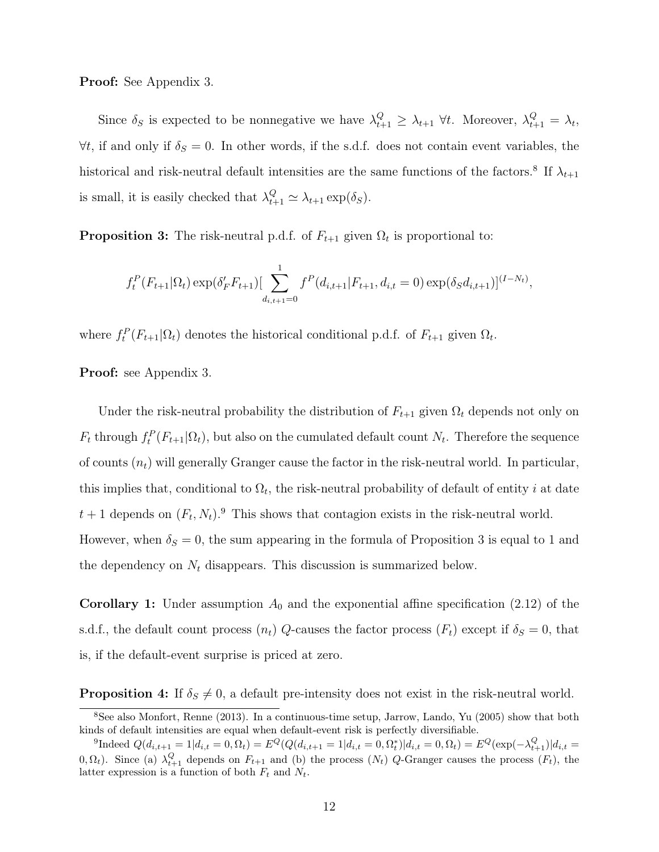Proof: See Appendix 3.

Since  $\delta_S$  is expected to be nonnegative we have  $\lambda_{t+1}^Q \geq \lambda_{t+1}$   $\forall t$ . Moreover,  $\lambda_{t+1}^Q = \lambda_t$ ,  $\forall t$ , if and only if  $\delta_s = 0$ . In other words, if the s.d.f. does not contain event variables, the historical and risk-neutral default intensities are the same functions of the factors.<sup>8</sup> If  $\lambda_{t+1}$ is small, it is easily checked that  $\lambda_{t+1}^Q \simeq \lambda_{t+1} \exp(\delta_S)$ .

**Proposition 3:** The risk-neutral p.d.f. of  $F_{t+1}$  given  $\Omega_t$  is proportional to:

$$
f_t^P(F_{t+1}|\Omega_t) \exp(\delta'_F F_{t+1}) \left[\sum_{d_{i,t+1}=0}^1 f^P(d_{i,t+1}|F_{t+1}, d_{i,t}=0) \exp(\delta_S d_{i,t+1})\right]^{(I-N_t)},
$$

where  $f_t^P(F_{t+1}|\Omega_t)$  denotes the historical conditional p.d.f. of  $F_{t+1}$  given  $\Omega_t$ .

Proof: see Appendix 3.

Under the risk-neutral probability the distribution of  $F_{t+1}$  given  $\Omega_t$  depends not only on  $F_t$  through  $f_t^P(F_{t+1}|\Omega_t)$ , but also on the cumulated default count  $N_t$ . Therefore the sequence of counts  $(n_t)$  will generally Granger cause the factor in the risk-neutral world. In particular, this implies that, conditional to  $\Omega_t$ , the risk-neutral probability of default of entity i at date  $t+1$  depends on  $(F_t, N_t)$ . This shows that contagion exists in the risk-neutral world. However, when  $\delta_S = 0$ , the sum appearing in the formula of Proposition 3 is equal to 1 and the dependency on  $N_t$  disappears. This discussion is summarized below.

**Corollary 1:** Under assumption  $A_0$  and the exponential affine specification (2.12) of the s.d.f., the default count process  $(n_t)$  Q-causes the factor process  $(F_t)$  except if  $\delta_S = 0$ , that is, if the default-event surprise is priced at zero.

**Proposition 4:** If  $\delta_s \neq 0$ , a default pre-intensity does not exist in the risk-neutral world.

<sup>8</sup>See also Monfort, Renne (2013). In a continuous-time setup, Jarrow, Lando, Yu (2005) show that both kinds of default intensities are equal when default-event risk is perfectly diversifiable.

 ${}^{9}I \text{Indeed } Q(d_{i,t+1} = 1 | d_{i,t} = 0, \Omega_t) = E^Q(Q(d_{i,t+1} = 1 | d_{i,t} = 0, \Omega_t) | d_{i,t} = 0, \Omega_t) = E^Q(\exp(-\lambda_{t+1}^Q) | d_{i,t} = 0, \Omega_t)$ 0,  $\Omega_t$ ). Since (a)  $\lambda_{t+1}^Q$  depends on  $F_{t+1}$  and (b) the process  $(N_t)$  Q-Granger causes the process  $(F_t)$ , the latter expression is a function of both  $F_t$  and  $N_t$ .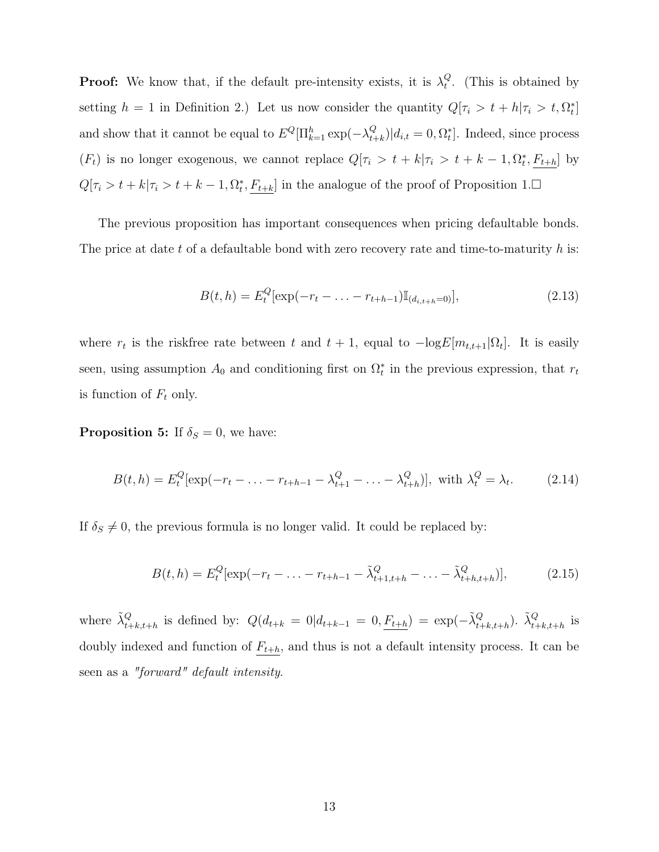**Proof:** We know that, if the default pre-intensity exists, it is  $\lambda_t^Q$  $_t^Q$ . (This is obtained by setting  $h = 1$  in Definition 2.) Let us now consider the quantity  $Q[\tau_i > t + h | \tau_i > t, \Omega_t^*]$ and show that it cannot be equal to  $E^Q[\Pi_{k=1}^h \exp(-\lambda_{t=1}^Q$  $_{t+k}^{Q}$  $|d_{i,t} = 0, \Omega_t^*$ . Indeed, since process  $(F_t)$  is no longer exogenous, we cannot replace  $Q[\tau_i > t + k | \tau_i > t + k - 1, \Omega_t^*, \underline{F_{t+h}}]$  by  $Q[\tau_i > t + k | \tau_i > t + k - 1, \Omega_t^*, \underline{F_{t+k}}]$  in the analogue of the proof of Proposition 1.

The previous proposition has important consequences when pricing defaultable bonds. The price at date t of a defaultable bond with zero recovery rate and time-to-maturity  $h$  is:

$$
B(t,h) = E_t^Q[\exp(-r_t - \ldots - r_{t+h-1})\mathbb{I}_{(d_{i,t+h}=0)}],
$$
\n(2.13)

where  $r_t$  is the riskfree rate between t and  $t + 1$ , equal to  $-\log E[m_{t,t+1}|\Omega_t]$ . It is easily seen, using assumption  $A_0$  and conditioning first on  $\Omega_t^*$  in the previous expression, that  $r_t$ is function of  $F_t$  only.

**Proposition 5:** If  $\delta_S = 0$ , we have:

$$
B(t, h) = E_t^Q[\exp(-r_t - \dots - r_{t+h-1} - \lambda_{t+1}^Q - \dots - \lambda_{t+h}^Q)], \text{ with } \lambda_t^Q = \lambda_t. \tag{2.14}
$$

If  $\delta_S \neq 0$ , the previous formula is no longer valid. It could be replaced by:

$$
B(t,h) = E_t^Q[\exp(-r_t - \dots - r_{t+h-1} - \tilde{\lambda}_{t+1,t+h}^Q - \dots - \tilde{\lambda}_{t+h,t+h}^Q)],
$$
 (2.15)

where  $\tilde{\lambda}_{t+k,t+h}^Q$  is defined by:  $Q(d_{t+k} = 0|d_{t+k-1} = 0, \underline{F_{t+h}}) = \exp(-\tilde{\lambda}_{t+k,t+h}^Q)$ .  $\tilde{\lambda}_{t+k,t+h}^Q$  is doubly indexed and function of  $F_{t+h}$ , and thus is not a default intensity process. It can be seen as a "forward" default intensity.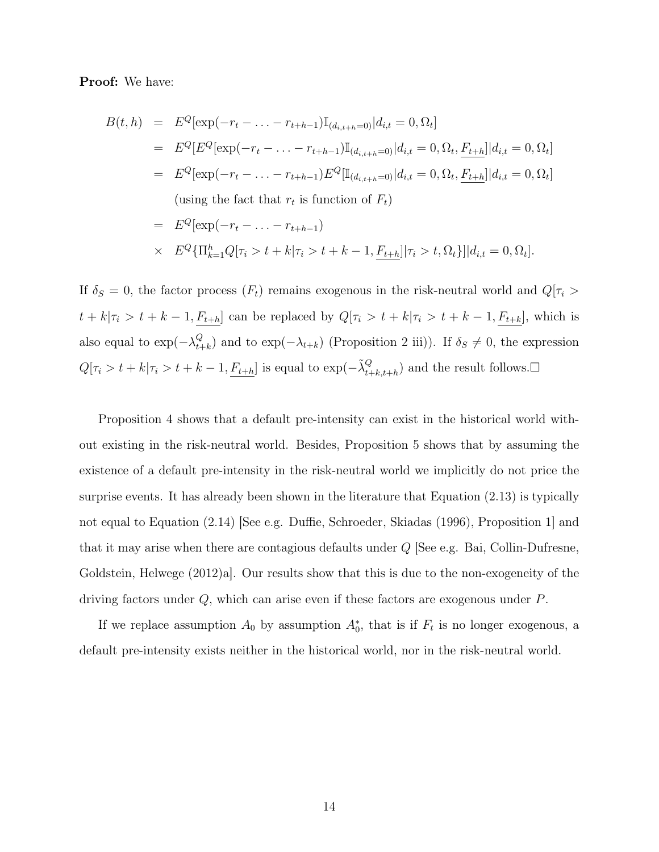Proof: We have:

$$
B(t, h) = E^{Q}[\exp(-r_{t} - \dots - r_{t+h-1})\mathbb{I}_{(d_{i,t+h}=0)}|d_{i,t} = 0, \Omega_{t}]
$$
  
\n
$$
= E^{Q}[E^{Q}[\exp(-r_{t} - \dots - r_{t+h-1})\mathbb{I}_{(d_{i,t+h}=0)}|d_{i,t} = 0, \Omega_{t}, \underline{F_{t+h}}]|d_{i,t} = 0, \Omega_{t}]
$$
  
\n
$$
= E^{Q}[\exp(-r_{t} - \dots - r_{t+h-1})E^{Q}[\mathbb{I}_{(d_{i,t+h}=0)}|d_{i,t} = 0, \Omega_{t}, \underline{F_{t+h}}]|d_{i,t} = 0, \Omega_{t}]
$$
  
\n(using the fact that  $r_{t}$  is function of  $F_{t}$ )  
\n
$$
= E^{Q}[\exp(-r_{t} - \dots - r_{t+h-1})]
$$
  
\n
$$
\times E^{Q}\{\Pi_{k=1}^{h}Q[\tau_{i} > t+k|\tau_{i} > t+k-1, \underline{F_{t+h}}]|\tau_{i} > t, \Omega_{t}\}]|d_{i,t} = 0, \Omega_{t}].
$$

If  $\delta_S = 0$ , the factor process  $(F_t)$  remains exogenous in the risk-neutral world and  $Q[\tau_i >$  $t + k|\tau_i > t + k - 1$ ,  $\underline{F_{t+h}}$  can be replaced by  $Q[\tau_i > t + k|\tau_i > t + k - 1$ ,  $\underline{F_{t+k}}$ , which is also equal to  $\exp(-\lambda_{t+1}^Q)$  $_{t+k}^{Q}$ ) and to exp( $-\lambda_{t+k}$ ) (Proposition 2 iii)). If  $\delta_{S} \neq 0$ , the expression  $Q[\tau_i > t + k | \tau_i > t + k - 1, \underline{F_{t+h}}]$  is equal to  $\exp(-\tilde{\lambda}_{t+k,t+h}^Q)$  and the result follows.

Proposition 4 shows that a default pre-intensity can exist in the historical world without existing in the risk-neutral world. Besides, Proposition 5 shows that by assuming the existence of a default pre-intensity in the risk-neutral world we implicitly do not price the surprise events. It has already been shown in the literature that Equation (2.13) is typically not equal to Equation (2.14) [See e.g. Duffie, Schroeder, Skiadas (1996), Proposition 1] and that it may arise when there are contagious defaults under Q [See e.g. Bai, Collin-Dufresne, Goldstein, Helwege (2012)a]. Our results show that this is due to the non-exogeneity of the driving factors under Q, which can arise even if these factors are exogenous under P.

If we replace assumption  $A_0$  by assumption  $A_0^*$ , that is if  $F_t$  is no longer exogenous, a default pre-intensity exists neither in the historical world, nor in the risk-neutral world.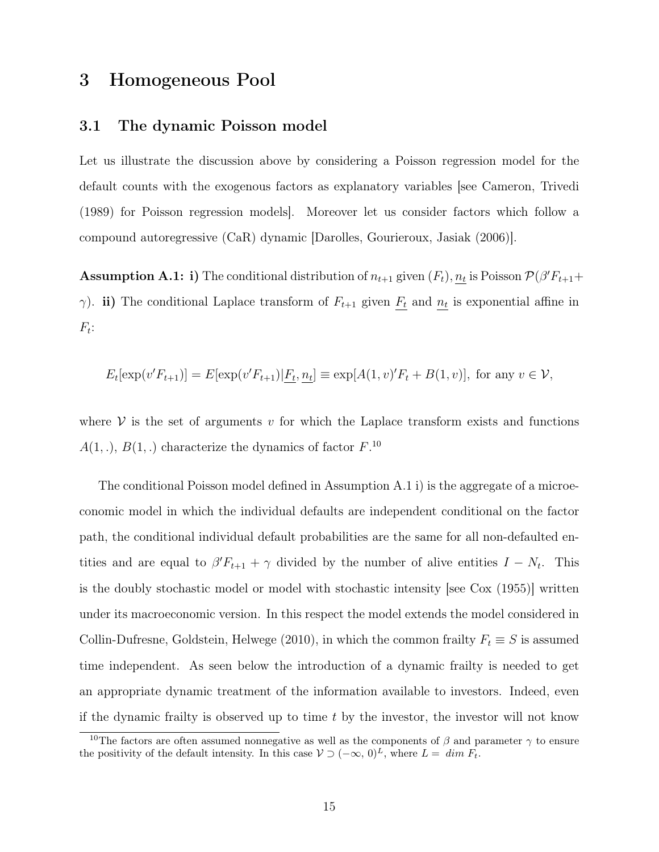## 3 Homogeneous Pool

#### 3.1 The dynamic Poisson model

Let us illustrate the discussion above by considering a Poisson regression model for the default counts with the exogenous factors as explanatory variables [see Cameron, Trivedi (1989) for Poisson regression models]. Moreover let us consider factors which follow a compound autoregressive (CaR) dynamic [Darolles, Gourieroux, Jasiak (2006)].

**Assumption A.1: i)** The conditional distribution of  $n_{t+1}$  given  $(F_t)$ ,  $n_t$  is Poisson  $\mathcal{P}(\beta'F_{t+1} +$  $\gamma$ ). ii) The conditional Laplace transform of  $F_{t+1}$  given  $F_t$  and  $n_t$  is exponential affine in  $F_t$ :

$$
E_t[\exp(v'F_{t+1})] = E[\exp(v'F_{t+1})|F_t, n_t] \equiv \exp[A(1, v)'F_t + B(1, v)], \text{ for any } v \in \mathcal{V},
$$

where V is the set of arguments v for which the Laplace transform exists and functions  $A(1,.)$ ,  $B(1,.)$  characterize the dynamics of factor  $F^{10}$ .

The conditional Poisson model defined in Assumption A.1 i) is the aggregate of a microeconomic model in which the individual defaults are independent conditional on the factor path, the conditional individual default probabilities are the same for all non-defaulted entities and are equal to  $\beta' F_{t+1} + \gamma$  divided by the number of alive entities  $I - N_t$ . This is the doubly stochastic model or model with stochastic intensity [see Cox (1955)] written under its macroeconomic version. In this respect the model extends the model considered in Collin-Dufresne, Goldstein, Helwege (2010), in which the common frailty  $F_t \equiv S$  is assumed time independent. As seen below the introduction of a dynamic frailty is needed to get an appropriate dynamic treatment of the information available to investors. Indeed, even if the dynamic frailty is observed up to time  $t$  by the investor, the investor will not know

<sup>&</sup>lt;sup>10</sup>The factors are often assumed nonnegative as well as the components of  $\beta$  and parameter  $\gamma$  to ensure the positivity of the default intensity. In this case  $V \supset (-\infty, 0)^L$ , where  $L = dim F_t$ .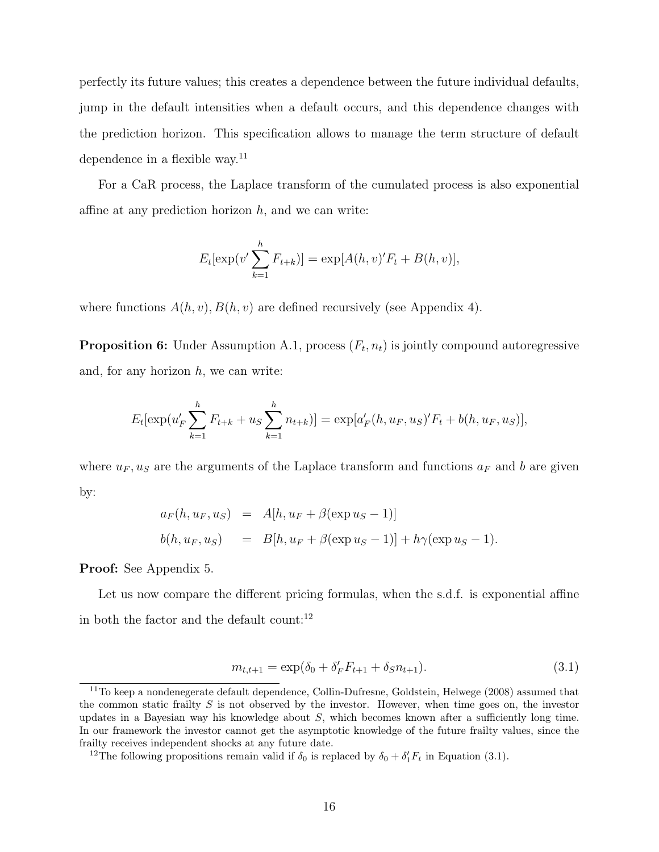perfectly its future values; this creates a dependence between the future individual defaults, jump in the default intensities when a default occurs, and this dependence changes with the prediction horizon. This specification allows to manage the term structure of default dependence in a flexible way.<sup>11</sup>

For a CaR process, the Laplace transform of the cumulated process is also exponential affine at any prediction horizon  $h$ , and we can write:

$$
E_t[\exp(v'\sum_{k=1}^h F_{t+k})] = \exp[A(h, v)'F_t + B(h, v)],
$$

where functions  $A(h, v), B(h, v)$  are defined recursively (see Appendix 4).

**Proposition 6:** Under Assumption A.1, process  $(F_t, n_t)$  is jointly compound autoregressive and, for any horizon  $h$ , we can write:

$$
E_t[\exp(u'_F \sum_{k=1}^h F_{t+k} + u_S \sum_{k=1}^h n_{t+k})] = \exp[a'_F(h, u_F, u_S)'F_t + b(h, u_F, u_S)],
$$

where  $u_F, u_S$  are the arguments of the Laplace transform and functions  $a_F$  and b are given by:

$$
a_F(h, u_F, u_S) = A[h, u_F + \beta(\exp u_S - 1)]
$$
  

$$
b(h, u_F, u_S) = B[h, u_F + \beta(\exp u_S - 1)] + h\gamma(\exp u_S - 1).
$$

Proof: See Appendix 5.

Let us now compare the different pricing formulas, when the s.d.f. is exponential affine in both the factor and the default count:  $\rm ^{12}$ 

$$
m_{t,t+1} = \exp(\delta_0 + \delta'_F F_{t+1} + \delta_S n_{t+1}). \tag{3.1}
$$

<sup>&</sup>lt;sup>11</sup>To keep a nondenegerate default dependence, Collin-Dufresne, Goldstein, Helwege (2008) assumed that the common static frailty S is not observed by the investor. However, when time goes on, the investor updates in a Bayesian way his knowledge about  $S$ , which becomes known after a sufficiently long time. In our framework the investor cannot get the asymptotic knowledge of the future frailty values, since the frailty receives independent shocks at any future date.

<sup>&</sup>lt;sup>12</sup>The following propositions remain valid if  $\delta_0$  is replaced by  $\delta_0 + \delta'_1 F_t$  in Equation (3.1).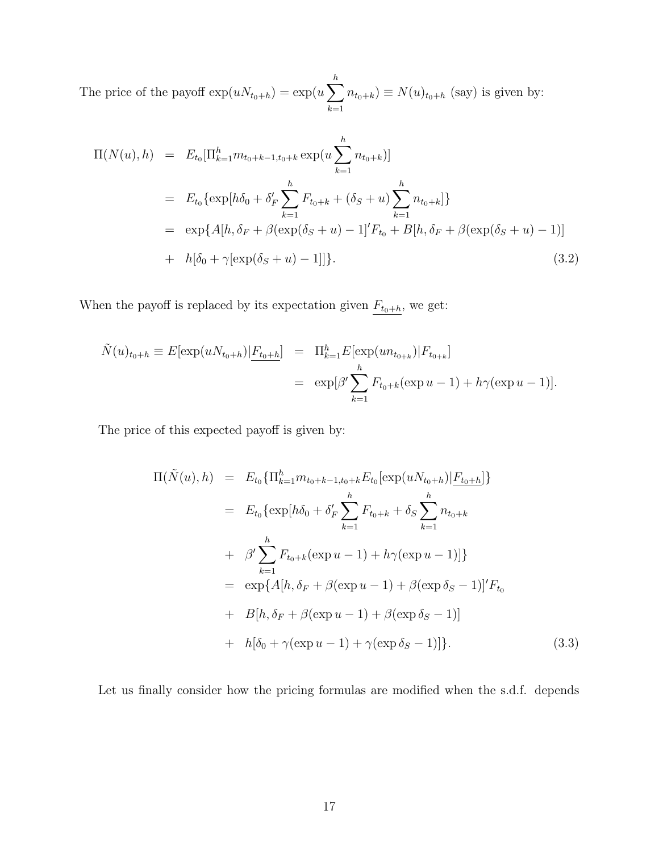The price of the payoff  $\exp(uN_{t_0+h}) = \exp(u\sum)$ h  $k=1$  $n_{t_0+k} \equiv N(u)_{t_0+h}$  (say) is given by:

$$
\Pi(N(u), h) = E_{t_0}[\Pi_{k=1}^h m_{t_0+k-1, t_0+k} \exp(u \sum_{k=1}^h n_{t_0+k})]
$$
\n
$$
= E_{t_0} \{ \exp[h\delta_0 + \delta'_F \sum_{k=1}^h F_{t_0+k} + (\delta_S + u) \sum_{k=1}^h n_{t_0+k}] \}
$$
\n
$$
= \exp\{A[h, \delta_F + \beta(\exp(\delta_S + u) - 1]'F_{t_0} + B[h, \delta_F + \beta(\exp(\delta_S + u) - 1)] + h[\delta_0 + \gamma[\exp(\delta_S + u) - 1]] \}.
$$
\n(3.2)

When the payoff is replaced by its expectation given  $F_{t_0+h}$ , we get:

$$
\tilde{N}(u)_{t_0+h} \equiv E[\exp(uN_{t_0+h})|\underline{F_{t_0+h}}] = \Pi_{k=1}^h E[\exp(un_{t_{0+k}})|F_{t_{0+k}}]
$$
\n
$$
= \exp[\beta' \sum_{k=1}^h F_{t_0+k}(\exp u - 1) + h\gamma(\exp u - 1)].
$$

The price of this expected payoff is given by:

$$
\Pi(\tilde{N}(u), h) = E_{t_0} \{ \Pi_{k=1}^h m_{t_0+k-1,t_0+k} E_{t_0} [\exp(uN_{t_0+h}) | \underline{F_{t_0+h}}] \}
$$
\n
$$
= E_{t_0} {\exp[h\delta_0 + \delta'_F \sum_{k=1}^h F_{t_0+k} + \delta_S \sum_{k=1}^h n_{t_0+k} + \beta' \sum_{k=1}^h F_{t_0+k} (\exp u - 1) + h\gamma (\exp u - 1)] \}
$$
\n
$$
= \exp\{A[h, \delta_F + \beta(\exp u - 1) + \beta(\exp \delta_S - 1)]' F_{t_0}
$$
\n
$$
+ B[h, \delta_F + \beta(\exp u - 1) + \beta(\exp \delta_S - 1)]
$$
\n
$$
+ h[\delta_0 + \gamma(\exp u - 1) + \gamma(\exp \delta_S - 1)] \}. \tag{3.3}
$$

Let us finally consider how the pricing formulas are modified when the s.d.f. depends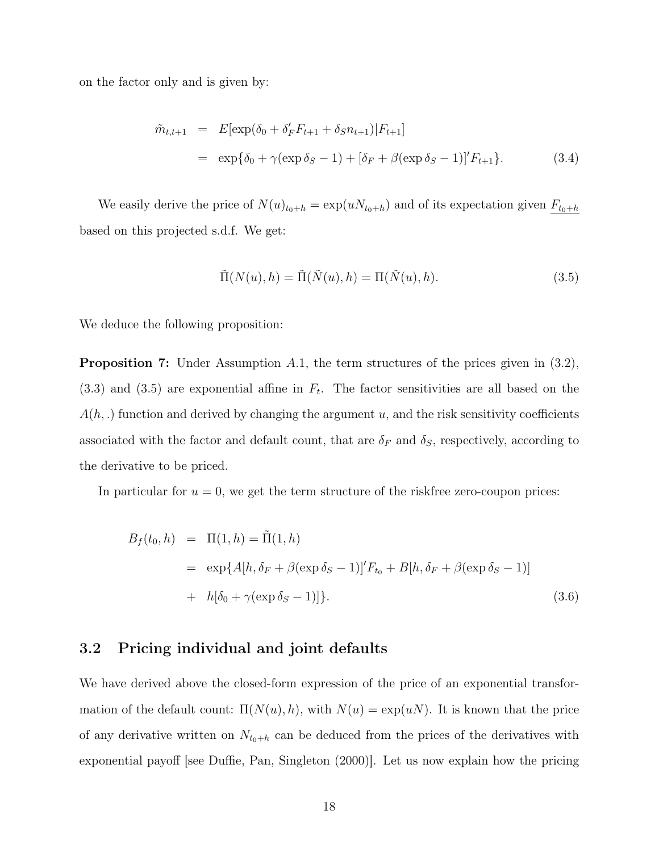on the factor only and is given by:

$$
\tilde{m}_{t,t+1} = E[\exp(\delta_0 + \delta'_F F_{t+1} + \delta_S n_{t+1}) | F_{t+1}]
$$
  
= 
$$
\exp{\{\delta_0 + \gamma(\exp{\delta_S} - 1) + [\delta_F + \beta(\exp{\delta_S} - 1)]' F_{t+1}\}}.
$$
 (3.4)

We easily derive the price of  $N(u)_{t_0+h} = \exp(uN_{t_0+h})$  and of its expectation given  $F_{t_0+h}$ based on this projected s.d.f. We get:

$$
\tilde{\Pi}(N(u),h) = \tilde{\Pi}(\tilde{N}(u),h) = \Pi(\tilde{N}(u),h).
$$
\n(3.5)

We deduce the following proposition:

**Proposition 7:** Under Assumption A.1, the term structures of the prices given in  $(3.2)$ ,  $(3.3)$  and  $(3.5)$  are exponential affine in  $F_t$ . The factor sensitivities are all based on the  $A(h,.)$  function and derived by changing the argument u, and the risk sensitivity coefficients associated with the factor and default count, that are  $\delta_F$  and  $\delta_S$ , respectively, according to the derivative to be priced.

In particular for  $u = 0$ , we get the term structure of the riskfree zero-coupon prices:

$$
B_f(t_0, h) = \Pi(1, h) = \tilde{\Pi}(1, h)
$$
  
= 
$$
\exp\{A[h, \delta_F + \beta(\exp \delta_S - 1)]'F_{t_0} + B[h, \delta_F + \beta(\exp \delta_S - 1)]
$$
  
+ 
$$
h[\delta_0 + \gamma(\exp \delta_S - 1)]\}.
$$
 (3.6)

#### 3.2 Pricing individual and joint defaults

We have derived above the closed-form expression of the price of an exponential transformation of the default count:  $\Pi(N(u), h)$ , with  $N(u) = \exp(uN)$ . It is known that the price of any derivative written on  $N_{t_0+h}$  can be deduced from the prices of the derivatives with exponential payoff [see Duffie, Pan, Singleton (2000)]. Let us now explain how the pricing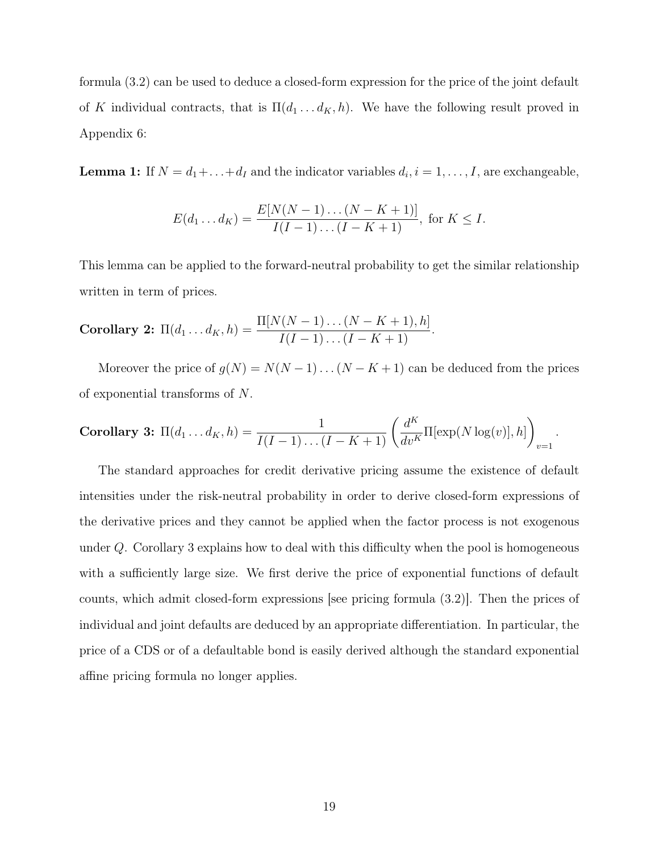formula (3.2) can be used to deduce a closed-form expression for the price of the joint default of K individual contracts, that is  $\Pi(d_1 \ldots d_K, h)$ . We have the following result proved in Appendix 6:

**Lemma 1:** If  $N = d_1 + ... + d_I$  and the indicator variables  $d_i$ ,  $i = 1, ..., I$ , are exchangeable,

$$
E(d_1...d_K) = \frac{E[N(N-1)...(N-K+1)]}{I(I-1)...(I-K+1)},
$$
 for  $K \leq I$ .

This lemma can be applied to the forward-neutral probability to get the similar relationship written in term of prices.

**Corollary 2:** 
$$
\Pi(d_1 \dots d_K, h) = \frac{\Pi[N(N-1)\dots(N-K+1), h]}{I(I-1)\dots(I-K+1)}
$$
.

Moreover the price of  $g(N) = N(N-1)...(N - K + 1)$  can be deduced from the prices of exponential transforms of N.

Corollary 3: 
$$
\Pi(d_1 \dots d_K, h) = \frac{1}{I(I-1)\dots(I-K+1)} \left( \frac{d^K}{dv^K} \Pi[\exp(N \log(v)], h] \right)_{v=1}.
$$

The standard approaches for credit derivative pricing assume the existence of default intensities under the risk-neutral probability in order to derive closed-form expressions of the derivative prices and they cannot be applied when the factor process is not exogenous under Q. Corollary 3 explains how to deal with this difficulty when the pool is homogeneous with a sufficiently large size. We first derive the price of exponential functions of default counts, which admit closed-form expressions [see pricing formula  $(3.2)$ ]. Then the prices of individual and joint defaults are deduced by an appropriate differentiation. In particular, the price of a CDS or of a defaultable bond is easily derived although the standard exponential affine pricing formula no longer applies.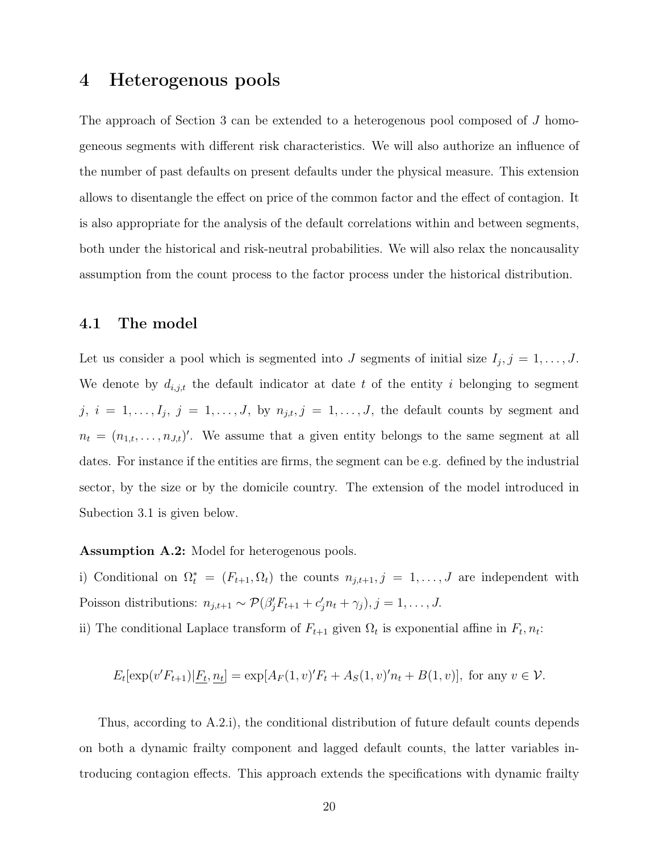## 4 Heterogenous pools

The approach of Section 3 can be extended to a heterogenous pool composed of J homogeneous segments with different risk characteristics. We will also authorize an influence of the number of past defaults on present defaults under the physical measure. This extension allows to disentangle the effect on price of the common factor and the effect of contagion. It is also appropriate for the analysis of the default correlations within and between segments, both under the historical and risk-neutral probabilities. We will also relax the noncausality assumption from the count process to the factor process under the historical distribution.

#### 4.1 The model

Let us consider a pool which is segmented into J segments of initial size  $I_j$ ,  $j = 1, \ldots, J$ . We denote by  $d_{i,j,t}$  the default indicator at date t of the entity i belonging to segment j,  $i = 1, \ldots, I_j$ ,  $j = 1, \ldots, J$ , by  $n_{j,t}$ ,  $j = 1, \ldots, J$ , the default counts by segment and  $n_t = (n_{1,t}, \ldots, n_{J,t})'$ . We assume that a given entity belongs to the same segment at all dates. For instance if the entities are firms, the segment can be e.g. defined by the industrial sector, by the size or by the domicile country. The extension of the model introduced in Subection 3.1 is given below.

#### Assumption A.2: Model for heterogenous pools.

i) Conditional on  $\Omega_t^* = (F_{t+1}, \Omega_t)$  the counts  $n_{j,t+1}, j = 1, \ldots, J$  are independent with Poisson distributions:  $n_{j,t+1} \sim \mathcal{P}(\beta'_j F_{t+1} + c'_j n_t + \gamma_j), j = 1, \ldots, J$ .

ii) The conditional Laplace transform of  $F_{t+1}$  given  $\Omega_t$  is exponential affine in  $F_t, n_t$ :

$$
E_t[\exp(v'F_{t+1})|F_t, n_t] = \exp[A_F(1, v)'F_t + A_S(1, v)'n_t + B(1, v)], \text{ for any } v \in \mathcal{V}.
$$

Thus, according to A.2.i), the conditional distribution of future default counts depends on both a dynamic frailty component and lagged default counts, the latter variables introducing contagion effects. This approach extends the specifications with dynamic frailty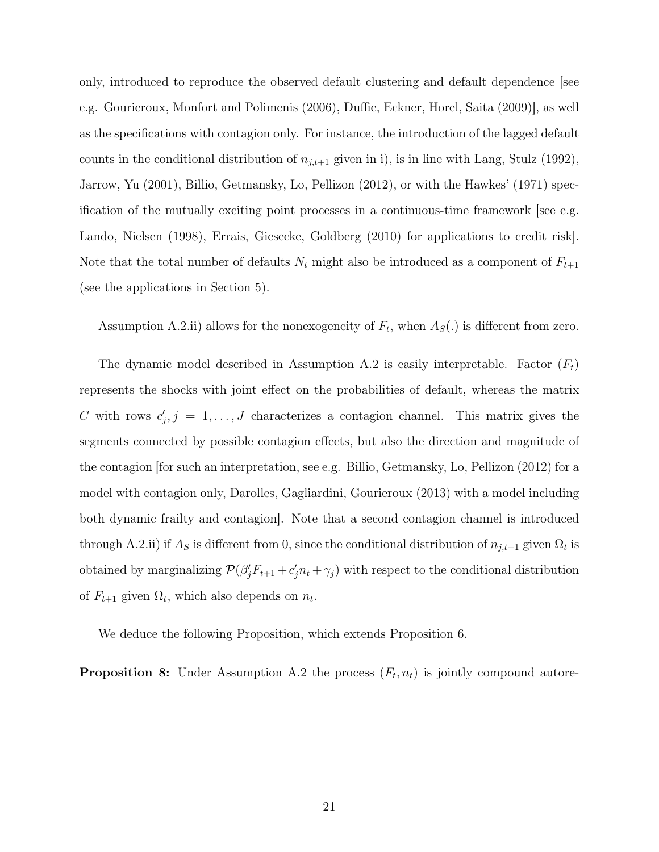only, introduced to reproduce the observed default clustering and default dependence [see e.g. Gourieroux, Monfort and Polimenis (2006), Duffie, Eckner, Horel, Saita (2009)], as well as the specifications with contagion only. For instance, the introduction of the lagged default counts in the conditional distribution of  $n_{j,t+1}$  given in i), is in line with Lang, Stulz (1992), Jarrow, Yu (2001), Billio, Getmansky, Lo, Pellizon (2012), or with the Hawkes' (1971) specification of the mutually exciting point processes in a continuous-time framework [see e.g. Lando, Nielsen (1998), Errais, Giesecke, Goldberg (2010) for applications to credit risk. Note that the total number of defaults  $N_t$  might also be introduced as a component of  $F_{t+1}$ (see the applications in Section 5).

Assumption A.2.ii) allows for the nonexogeneity of  $F_t$ , when  $A_s(.)$  is different from zero.

The dynamic model described in Assumption A.2 is easily interpretable. Factor  $(F_t)$ represents the shocks with joint effect on the probabilities of default, whereas the matrix C with rows  $c'_j, j = 1, \ldots, J$  characterizes a contagion channel. This matrix gives the segments connected by possible contagion effects, but also the direction and magnitude of the contagion [for such an interpretation, see e.g. Billio, Getmansky, Lo, Pellizon (2012) for a model with contagion only, Darolles, Gagliardini, Gourieroux (2013) with a model including both dynamic frailty and contagion]. Note that a second contagion channel is introduced through A.2.ii) if  $A_s$  is different from 0, since the conditional distribution of  $n_{j,t+1}$  given  $\Omega_t$  is obtained by marginalizing  $\mathcal{P}(\beta_j'F_{t+1}+c_j'n_t+\gamma_j)$  with respect to the conditional distribution of  $F_{t+1}$  given  $\Omega_t$ , which also depends on  $n_t$ .

We deduce the following Proposition, which extends Proposition 6.

**Proposition 8:** Under Assumption A.2 the process  $(F_t, n_t)$  is jointly compound autore-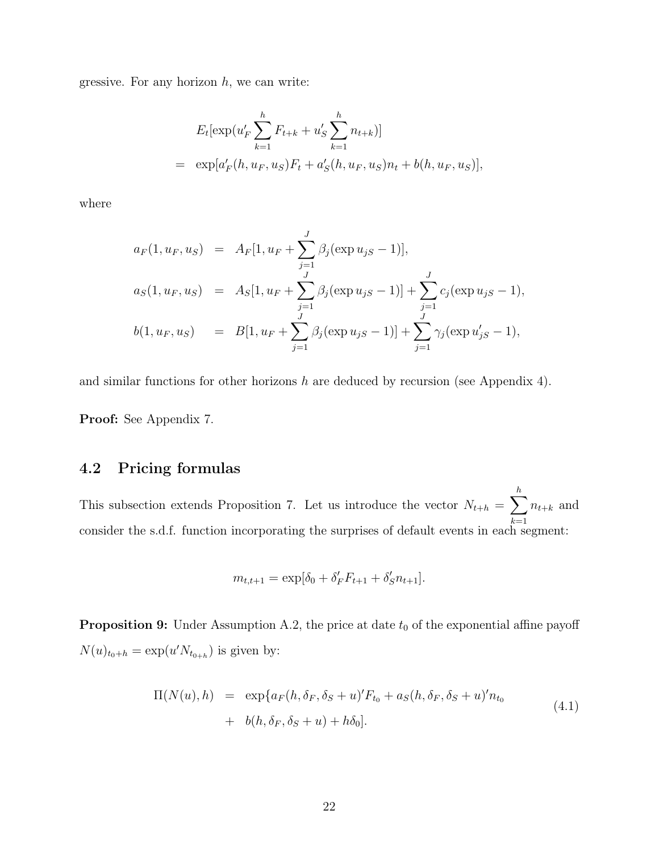gressive. For any horizon  $h$ , we can write:

$$
E_t[\exp(u'_F \sum_{k=1}^h F_{t+k} + u'_S \sum_{k=1}^h n_{t+k})]
$$
  
= 
$$
\exp[a'_F(h, u_F, u_S)F_t + a'_S(h, u_F, u_S)n_t + b(h, u_F, u_S)],
$$

where

$$
a_F(1, u_F, u_S) = A_F[1, u_F + \sum_{j=1}^J \beta_j (\exp u_{jS} - 1)],
$$
  
\n
$$
a_S(1, u_F, u_S) = A_S[1, u_F + \sum_{j=1}^J \beta_j (\exp u_{jS} - 1)] + \sum_{j=1}^J c_j (\exp u_{jS} - 1),
$$
  
\n
$$
b(1, u_F, u_S) = B[1, u_F + \sum_{j=1}^J \beta_j (\exp u_{jS} - 1)] + \sum_{j=1}^J \gamma_j (\exp u'_{jS} - 1),
$$

and similar functions for other horizons  $h$  are deduced by recursion (see Appendix 4).

Proof: See Appendix 7.

### 4.2 Pricing formulas

This subsection extends Proposition 7. Let us introduce the vector  $N_{t+h} = \sum_{h=1}^{h} N_h$ h  $k=1$  $n_{t+k}$  and consider the s.d.f. function incorporating the surprises of default events in each segment:

$$
m_{t,t+1} = \exp[\delta_0 + \delta'_F F_{t+1} + \delta'_S n_{t+1}].
$$

**Proposition 9:** Under Assumption A.2, the price at date  $t_0$  of the exponential affine payoff  $N(u)_{t_0+h} = \exp(u' N_{t_{0+h}})$  is given by:

$$
\Pi(N(u),h) = \exp\{a_F(h,\delta_F,\delta_S+u)'F_{t_0} + a_S(h,\delta_F,\delta_S+u)'n_{t_0} + b(h,\delta_F,\delta_S+u) + h\delta_0\}.
$$
\n(4.1)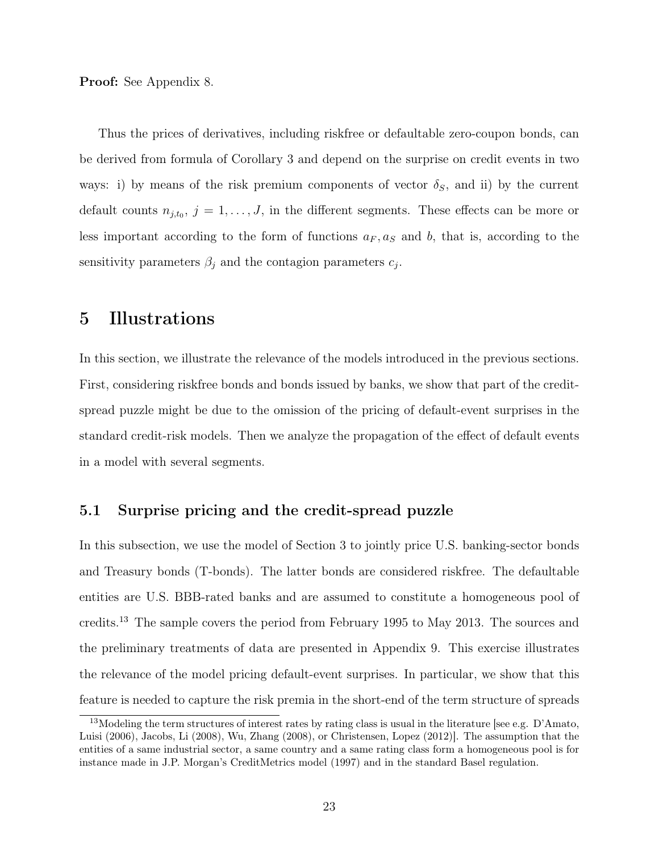Proof: See Appendix 8.

Thus the prices of derivatives, including riskfree or defaultable zero-coupon bonds, can be derived from formula of Corollary 3 and depend on the surprise on credit events in two ways: i) by means of the risk premium components of vector  $\delta_S$ , and ii) by the current default counts  $n_{j,t_0}, j = 1, \ldots, J$ , in the different segments. These effects can be more or less important according to the form of functions  $a_F, a_S$  and b, that is, according to the sensitivity parameters  $\beta_j$  and the contagion parameters  $c_j$ .

## 5 Illustrations

In this section, we illustrate the relevance of the models introduced in the previous sections. First, considering riskfree bonds and bonds issued by banks, we show that part of the creditspread puzzle might be due to the omission of the pricing of default-event surprises in the standard credit-risk models. Then we analyze the propagation of the effect of default events in a model with several segments.

#### 5.1 Surprise pricing and the credit-spread puzzle

In this subsection, we use the model of Section 3 to jointly price U.S. banking-sector bonds and Treasury bonds (T-bonds). The latter bonds are considered riskfree. The defaultable entities are U.S. BBB-rated banks and are assumed to constitute a homogeneous pool of credits.<sup>13</sup> The sample covers the period from February 1995 to May 2013. The sources and the preliminary treatments of data are presented in Appendix 9. This exercise illustrates the relevance of the model pricing default-event surprises. In particular, we show that this feature is needed to capture the risk premia in the short-end of the term structure of spreads

<sup>&</sup>lt;sup>13</sup>Modeling the term structures of interest rates by rating class is usual in the literature [see e.g. D'Amato, Luisi (2006), Jacobs, Li (2008), Wu, Zhang (2008), or Christensen, Lopez (2012)]. The assumption that the entities of a same industrial sector, a same country and a same rating class form a homogeneous pool is for instance made in J.P. Morgan's CreditMetrics model (1997) and in the standard Basel regulation.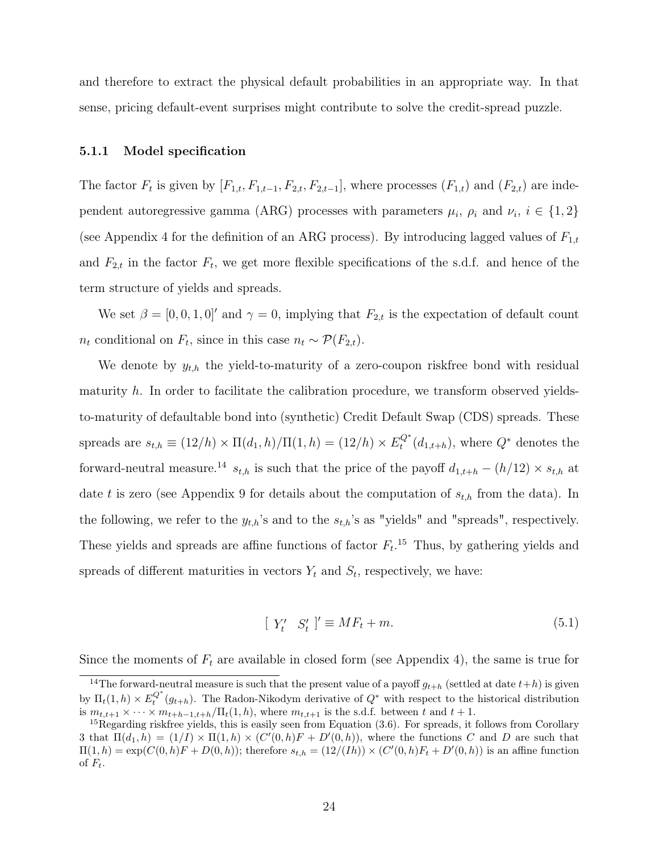and therefore to extract the physical default probabilities in an appropriate way. In that sense, pricing default-event surprises might contribute to solve the credit-spread puzzle.

#### 5.1.1 Model specification

The factor  $F_t$  is given by  $[F_{1,t}, F_{1,t-1}, F_{2,t}, F_{2,t-1}]$ , where processes  $(F_{1,t})$  and  $(F_{2,t})$  are independent autoregressive gamma (ARG) processes with parameters  $\mu_i$ ,  $\rho_i$  and  $\nu_i$ ,  $i \in \{1, 2\}$ (see Appendix 4 for the definition of an ARG process). By introducing lagged values of  $F_{1,t}$ and  $F_{2,t}$  in the factor  $F_t$ , we get more flexible specifications of the s.d.f. and hence of the term structure of yields and spreads.

We set  $\beta = [0, 0, 1, 0]$  and  $\gamma = 0$ , implying that  $F_{2,t}$  is the expectation of default count  $n_t$  conditional on  $F_t$ , since in this case  $n_t \sim \mathcal{P}(F_{2,t})$ .

We denote by  $y_{t,h}$  the yield-to-maturity of a zero-coupon riskfree bond with residual maturity h. In order to facilitate the calibration procedure, we transform observed yieldsto-maturity of defaultable bond into (synthetic) Credit Default Swap (CDS) spreads. These spreads are  $s_{t,h} \equiv (12/h) \times \Pi(d_1, h) / \Pi(1, h) = (12/h) \times E_t^{Q^*}$  $t^{Q^*}(d_{1,t+h})$ , where  $Q^*$  denotes the forward-neutral measure.<sup>14</sup>  $s_{t,h}$  is such that the price of the payoff  $d_{1,t+h} - (h/12) \times s_{t,h}$  at date t is zero (see Appendix 9 for details about the computation of  $s_{t,h}$  from the data). In the following, we refer to the  $y_{t,h}$ 's and to the  $s_{t,h}$ 's as "yields" and "spreads", respectively. These yields and spreads are affine functions of factor  $F_t$ .<sup>15</sup> Thus, by gathering yields and spreads of different maturities in vectors  $Y_t$  and  $S_t$ , respectively, we have:

$$
[Y'_t \quad S'_t] \equiv MF_t + m. \tag{5.1}
$$

Since the moments of  $F_t$  are available in closed form (see Appendix 4), the same is true for

<sup>&</sup>lt;sup>14</sup>The forward-neutral measure is such that the present value of a payoff  $g_{t+h}$  (settled at date  $t+h$ ) is given by  $\Pi_t(1,h) \times E_t^{Q^*}(g_{t+h})$ . The Radon-Nikodym derivative of  $Q^*$  with respect to the historical distribution is  $m_{t,t+1} \times \cdots \times m_{t+h-1,t+h}/\Pi_t(1,h)$ , where  $m_{t,t+1}$  is the s.d.f. between t and  $t+1$ .

<sup>&</sup>lt;sup>15</sup>Regarding riskfree yields, this is easily seen from Equation  $(3.6)$ . For spreads, it follows from Corollary 3 that  $\Pi(d_1, h) = (1/I) \times \Pi(1, h) \times (C'(0, h)F + D'(0, h)),$  where the functions C and D are such that  $\Pi(1,h) = \exp(C(0,h)F + D(0,h));$  therefore  $s_{t,h} = (12/(Ih)) \times (C'(0,h)F_t + D'(0,h))$  is an affine function of  $F_t$ .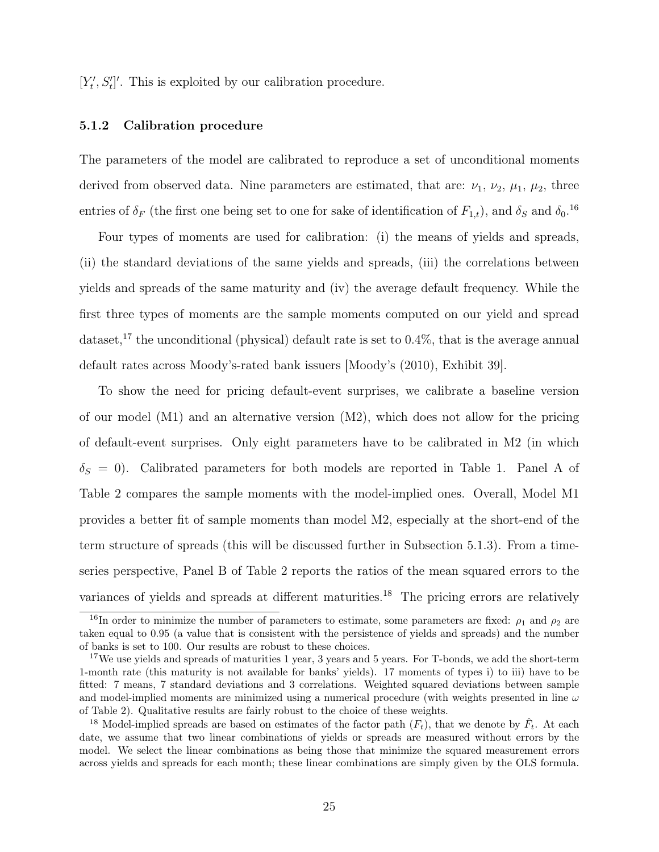$[Y'_t, S'_t]'$ . This is exploited by our calibration procedure.

#### 5.1.2 Calibration procedure

The parameters of the model are calibrated to reproduce a set of unconditional moments derived from observed data. Nine parameters are estimated, that are:  $\nu_1$ ,  $\nu_2$ ,  $\mu_1$ ,  $\mu_2$ , three entries of  $\delta_F$  (the first one being set to one for sake of identification of  $F_{1,t}$ ), and  $\delta_S$  and  $\delta_0$ .<sup>16</sup>

Four types of moments are used for calibration: (i) the means of yields and spreads, (ii) the standard deviations of the same yields and spreads, (iii) the correlations between yields and spreads of the same maturity and (iv) the average default frequency. While the first three types of moments are the sample moments computed on our yield and spread dataset,<sup>17</sup> the unconditional (physical) default rate is set to  $0.4\%$ , that is the average annual default rates across Moody's-rated bank issuers [Moody's (2010), Exhibit 39].

To show the need for pricing default-event surprises, we calibrate a baseline version of our model (M1) and an alternative version (M2), which does not allow for the pricing of default-event surprises. Only eight parameters have to be calibrated in M2 (in which  $\delta_S = 0$ ). Calibrated parameters for both models are reported in Table 1. Panel A of Table 2 compares the sample moments with the model-implied ones. Overall, Model M1 provides a better fit of sample moments than model M2, especially at the short-end of the term structure of spreads (this will be discussed further in Subsection 5.1.3). From a timeseries perspective, Panel B of Table 2 reports the ratios of the mean squared errors to the variances of yields and spreads at different maturities.<sup>18</sup> The pricing errors are relatively

<sup>&</sup>lt;sup>16</sup>In order to minimize the number of parameters to estimate, some parameters are fixed:  $\rho_1$  and  $\rho_2$  are taken equal to 0.95 (a value that is consistent with the persistence of yields and spreads) and the number of banks is set to 100. Our results are robust to these choices.

<sup>&</sup>lt;sup>17</sup>We use yields and spreads of maturities 1 year, 3 years and 5 years. For T-bonds, we add the short-term 1-month rate (this maturity is not available for banks' yields). 17 moments of types i) to iii) have to be fitted: 7 means, 7 standard deviations and 3 correlations. Weighted squared deviations between sample and model-implied moments are minimized using a numerical procedure (with weights presented in line  $\omega$ of Table 2). Qualitative results are fairly robust to the choice of these weights.

<sup>&</sup>lt;sup>18</sup> Model-implied spreads are based on estimates of the factor path  $(F_t)$ , that we denote by  $\hat{F}_t$ . At each date, we assume that two linear combinations of yields or spreads are measured without errors by the model. We select the linear combinations as being those that minimize the squared measurement errors across yields and spreads for each month; these linear combinations are simply given by the OLS formula.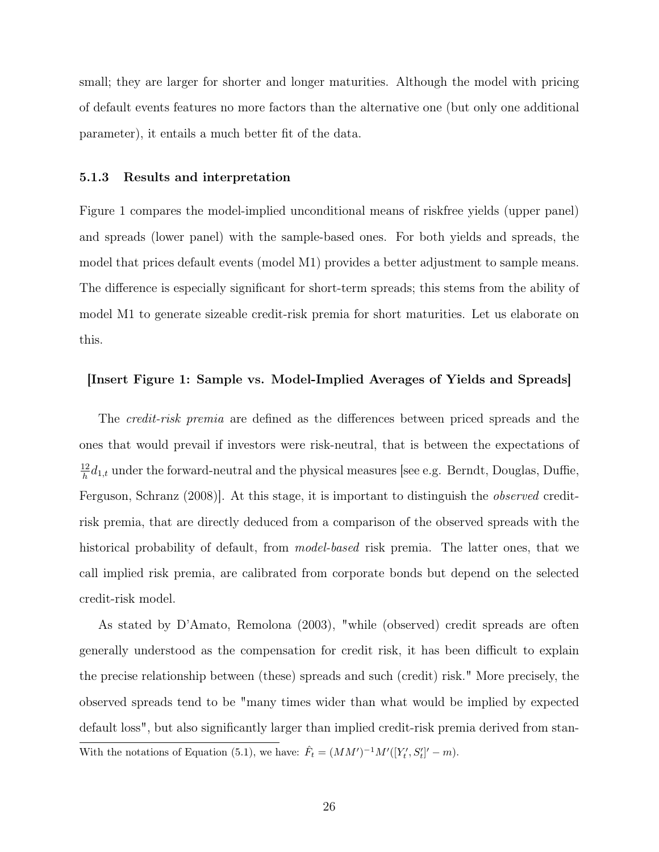small; they are larger for shorter and longer maturities. Although the model with pricing of default events features no more factors than the alternative one (but only one additional parameter), it entails a much better fit of the data.

#### 5.1.3 Results and interpretation

Figure 1 compares the model-implied unconditional means of riskfree yields (upper panel) and spreads (lower panel) with the sample-based ones. For both yields and spreads, the model that prices default events (model M1) provides a better adjustment to sample means. The difference is especially significant for short-term spreads; this stems from the ability of model M1 to generate sizeable credit-risk premia for short maturities. Let us elaborate on this.

#### [Insert Figure 1: Sample vs. Model-Implied Averages of Yields and Spreads]

The credit-risk premia are defined as the differences between priced spreads and the ones that would prevail if investors were risk-neutral, that is between the expectations of 12  $\frac{d^2}{h}d_{1,t}$  under the forward-neutral and the physical measures [see e.g. Berndt, Douglas, Duffie, Ferguson, Schranz (2008)]. At this stage, it is important to distinguish the observed creditrisk premia, that are directly deduced from a comparison of the observed spreads with the historical probability of default, from *model-based* risk premia. The latter ones, that we call implied risk premia, are calibrated from corporate bonds but depend on the selected credit-risk model.

As stated by D'Amato, Remolona (2003), "while (observed) credit spreads are often generally understood as the compensation for credit risk, it has been difficult to explain the precise relationship between (these) spreads and such (credit) risk." More precisely, the observed spreads tend to be "many times wider than what would be implied by expected default loss", but also significantly larger than implied credit-risk premia derived from stan-With the notations of Equation (5.1), we have:  $\hat{F}_t = (MM')^{-1}M'([Y'_t, S'_t]'-m)$ .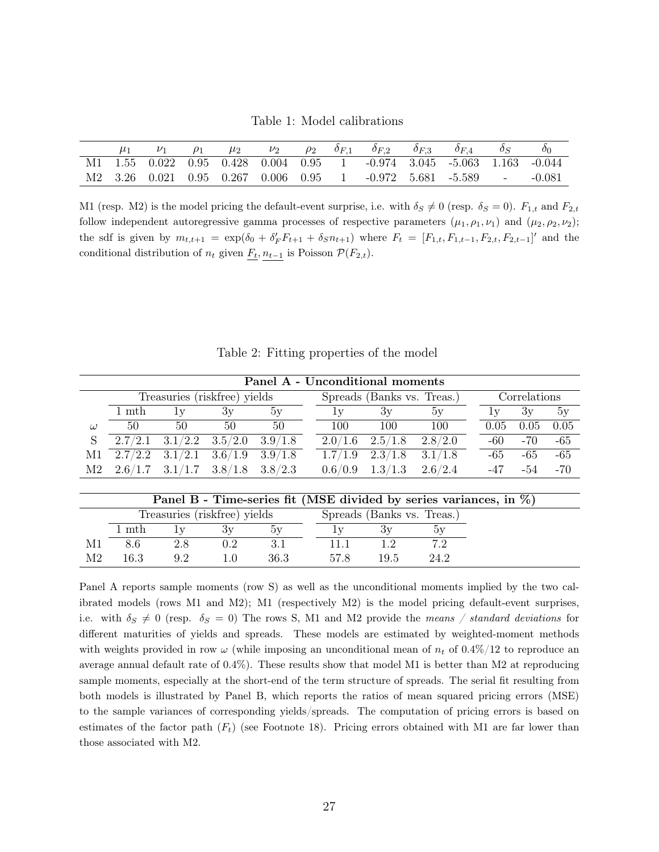Table 1: Model calibrations

|  |  | $\mu_2$                               | $\nu_2$ |  | $\rho_2 \qquad \delta_{F,1} \qquad \delta_{F,2} \qquad \delta_{F,3} \qquad \delta_{F,4}$ |  | $\partial$ s | $\delta_0$ |
|--|--|---------------------------------------|---------|--|------------------------------------------------------------------------------------------|--|--------------|------------|
|  |  |                                       |         |  | M1 1.55 0.022 0.95 0.428 0.004 0.95 1 -0.974 3.045 -5.063 1.163 -0.044                   |  |              |            |
|  |  | M2 3.26 0.021 0.95 0.267 0.006 0.95 1 |         |  | $-0.972$ 5.681 $-5.589$ -                                                                |  |              | -0.081     |

M1 (resp. M2) is the model pricing the default-event surprise, i.e. with  $\delta_S \neq 0$  (resp.  $\delta_S = 0$ ).  $F_{1,t}$  and  $F_{2,t}$ follow independent autoregressive gamma processes of respective parameters  $(\mu_1, \rho_1, \nu_1)$  and  $(\mu_2, \rho_2, \nu_2)$ ; the sdf is given by  $m_{t,t+1} = \exp(\delta_0 + \delta'_F F_{t+1} + \delta_S n_{t+1})$  where  $F_t = [F_{1,t}, F_{1,t-1}, F_{2,t}, F_{2,t-1}]'$  and the conditional distribution of  $n_t$  given  $\underline{F_t}$ ,  $n_{t-1}$  is Poisson  $\mathcal{P}(F_{2,t})$ .

| Panel A - Unconditional moments |                                        |                               |         |         |  |                            |         |         |       |              |       |  |
|---------------------------------|----------------------------------------|-------------------------------|---------|---------|--|----------------------------|---------|---------|-------|--------------|-------|--|
|                                 | Treasuries (riskfree) yields           |                               |         |         |  | Spreads (Banks vs. Treas.) |         |         |       | Correlations |       |  |
|                                 | 1 mth                                  | 1v                            | 3y      | 5v      |  | 1v                         | 3v      | 5v      | Îν    | 3y           | 5y    |  |
| $\omega$                        | 50                                     | 50                            | 50      | 50      |  | 100                        | 100     | 100     | 0.05  | 0.05         | 0.05  |  |
|                                 | 2.7/2.1                                | 3.1/2.2                       | 3.5/2.0 | 3.9/1.8 |  | 2.0/1.6                    | 2.5/1.8 | 2.8/2.0 | -60   | $-70$        | -65   |  |
| M1                              | 2.7/2.2                                | 3.1/2.1                       | 3.6/1.9 | 3.9/1.8 |  | 1.7/1.9                    | 2.3/1.8 | 3.1/1.8 | -65   | $-65$        | -65   |  |
| $\rm M2$                        |                                        | $2.6/1.7$ $3.1/1.7$ $3.8/1.8$ |         | 3.8/2.3 |  | 0.6/0.9                    | 1.3/1.3 | 2.6/2.4 | $-47$ | -54          | $-70$ |  |
|                                 |                                        |                               |         |         |  |                            |         |         |       |              |       |  |
|                                 | $\overline{\phantom{a}}$<br>- -<br>--- |                               |         |         |  |                            |         |         |       |              |       |  |

Table 2: Fitting properties of the model

| Panel B - Time-series fit (MSE divided by series variances, in $\%$ ) |       |                              |     |      |  |     |      |                            |  |  |  |
|-----------------------------------------------------------------------|-------|------------------------------|-----|------|--|-----|------|----------------------------|--|--|--|
|                                                                       |       | Treasuries (riskfree) yields |     |      |  |     |      | Spreads (Banks vs. Treas.) |  |  |  |
|                                                                       | 1 mth |                              |     |      |  |     |      |                            |  |  |  |
|                                                                       | 8.6   | 2.8                          |     |      |  |     |      | 79                         |  |  |  |
| M2                                                                    | 16.3  |                              | 1.0 | 36.3 |  | 578 | 19.5 | 24.2                       |  |  |  |

Panel A reports sample moments (row S) as well as the unconditional moments implied by the two calibrated models (rows M1 and M2); M1 (respectively M2) is the model pricing default-event surprises, i.e. with  $\delta_S \neq 0$  (resp.  $\delta_S = 0$ ) The rows S, M1 and M2 provide the means / standard deviations for different maturities of yields and spreads. These models are estimated by weighted-moment methods with weights provided in row  $\omega$  (while imposing an unconditional mean of  $n_t$  of 0.4%/12 to reproduce an average annual default rate of 0.4%). These results show that model M1 is better than M2 at reproducing sample moments, especially at the short-end of the term structure of spreads. The serial fit resulting from both models is illustrated by Panel B, which reports the ratios of mean squared pricing errors (MSE) to the sample variances of corresponding yields/spreads. The computation of pricing errors is based on estimates of the factor path  $(F_t)$  (see Footnote 18). Pricing errors obtained with M1 are far lower than those associated with M2.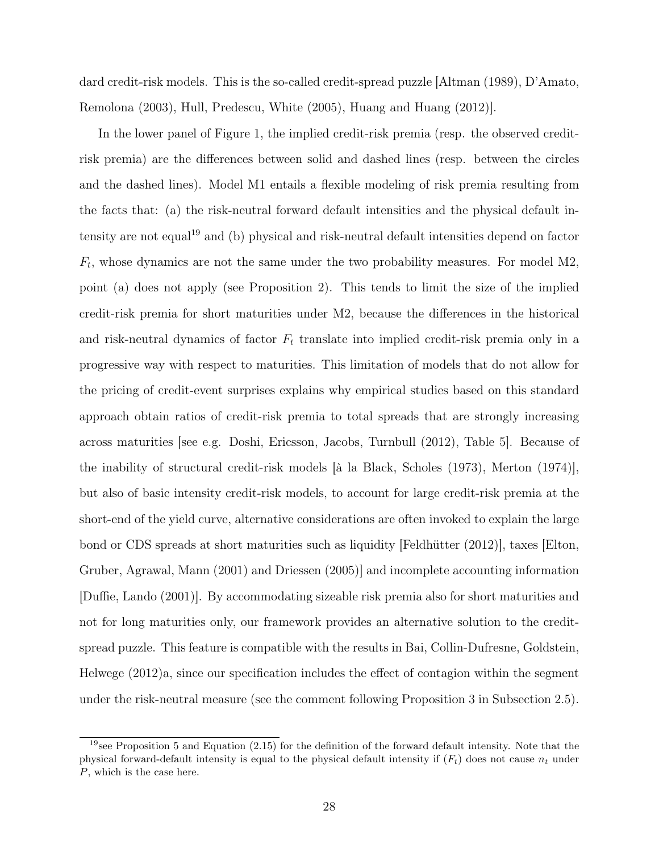dard credit-risk models. This is the so-called credit-spread puzzle [Altman (1989), D'Amato, Remolona (2003), Hull, Predescu, White (2005), Huang and Huang (2012)].

In the lower panel of Figure 1, the implied credit-risk premia (resp. the observed creditrisk premia) are the differences between solid and dashed lines (resp. between the circles and the dashed lines). Model M1 entails a flexible modeling of risk premia resulting from the facts that: (a) the risk-neutral forward default intensities and the physical default intensity are not equal<sup>19</sup> and (b) physical and risk-neutral default intensities depend on factor  $F_t$ , whose dynamics are not the same under the two probability measures. For model M2, point (a) does not apply (see Proposition 2). This tends to limit the size of the implied credit-risk premia for short maturities under M2, because the differences in the historical and risk-neutral dynamics of factor  $F_t$  translate into implied credit-risk premia only in a progressive way with respect to maturities. This limitation of models that do not allow for the pricing of credit-event surprises explains why empirical studies based on this standard approach obtain ratios of credit-risk premia to total spreads that are strongly increasing across maturities [see e.g. Doshi, Ericsson, Jacobs, Turnbull (2012), Table 5]. Because of the inability of structural credit-risk models [à la Black, Scholes (1973), Merton (1974)], but also of basic intensity credit-risk models, to account for large credit-risk premia at the short-end of the yield curve, alternative considerations are often invoked to explain the large bond or CDS spreads at short maturities such as liquidity [Feldhütter (2012)], taxes [Elton, Gruber, Agrawal, Mann (2001) and Driessen (2005)] and incomplete accounting information [Duffie, Lando (2001)]. By accommodating sizeable risk premia also for short maturities and not for long maturities only, our framework provides an alternative solution to the creditspread puzzle. This feature is compatible with the results in Bai, Collin-Dufresne, Goldstein, Helwege (2012)a, since our specification includes the effect of contagion within the segment under the risk-neutral measure (see the comment following Proposition 3 in Subsection 2.5).

 $19$ see Proposition 5 and Equation (2.15) for the definition of the forward default intensity. Note that the physical forward-default intensity is equal to the physical default intensity if  $(F_t)$  does not cause  $n_t$  under P, which is the case here.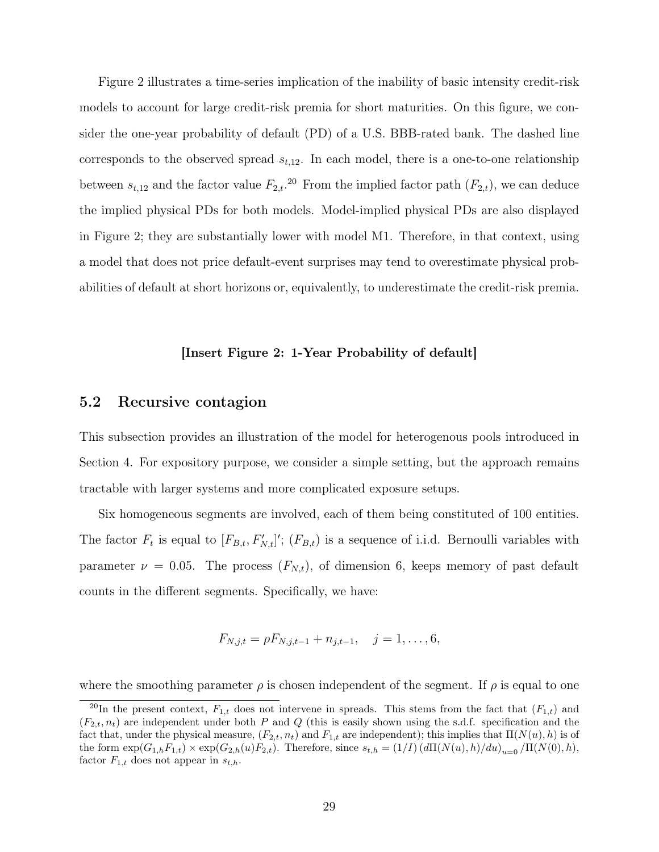Figure 2 illustrates a time-series implication of the inability of basic intensity credit-risk models to account for large credit-risk premia for short maturities. On this figure, we consider the one-year probability of default (PD) of a U.S. BBB-rated bank. The dashed line corresponds to the observed spread  $s_{t,12}$ . In each model, there is a one-to-one relationship between  $s_{t,12}$  and the factor value  $F_{2,t}$ <sup>20</sup> From the implied factor path  $(F_{2,t})$ , we can deduce the implied physical PDs for both models. Model-implied physical PDs are also displayed in Figure 2; they are substantially lower with model M1. Therefore, in that context, using a model that does not price default-event surprises may tend to overestimate physical probabilities of default at short horizons or, equivalently, to underestimate the credit-risk premia.

#### [Insert Figure 2: 1-Year Probability of default]

#### 5.2 Recursive contagion

This subsection provides an illustration of the model for heterogenous pools introduced in Section 4. For expository purpose, we consider a simple setting, but the approach remains tractable with larger systems and more complicated exposure setups.

Six homogeneous segments are involved, each of them being constituted of 100 entities. The factor  $F_t$  is equal to  $[F_{B,t}, F'_{N,t}]'$ ;  $(F_{B,t})$  is a sequence of i.i.d. Bernoulli variables with parameter  $\nu = 0.05$ . The process  $(F_{N,t})$ , of dimension 6, keeps memory of past default counts in the different segments. Specifically, we have:

$$
F_{N,j,t} = \rho F_{N,j,t-1} + n_{j,t-1}, \quad j = 1, \dots, 6,
$$

where the smoothing parameter  $\rho$  is chosen independent of the segment. If  $\rho$  is equal to one

<sup>&</sup>lt;sup>20</sup>In the present context,  $F_{1,t}$  does not intervene in spreads. This stems from the fact that  $(F_{1,t})$  and  $(F_{2,t}, n_t)$  are independent under both P and Q (this is easily shown using the s.d.f. specification and the fact that, under the physical measure,  $(F_{2,t}, n_t)$  and  $F_{1,t}$  are independent); this implies that  $\Pi(N(u), h)$  is of the form  $\exp(G_{1,h}F_{1,t}) \times \exp(G_{2,h}(u)F_{2,t})$ . Therefore, since  $s_{t,h} = (1/I) \left( d\Pi(N(u), h)/du \right)_{u=0} / \Pi(N(0), h)$ , factor  $F_{1,t}$  does not appear in  $s_{t,h}$ .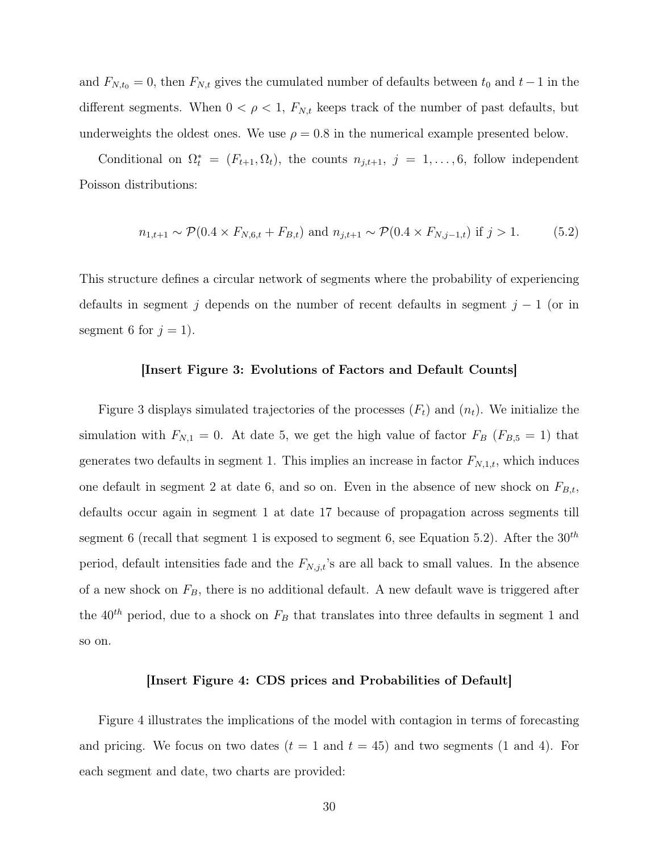and  $F_{N,t_0} = 0$ , then  $F_{N,t}$  gives the cumulated number of defaults between  $t_0$  and  $t-1$  in the different segments. When  $0 < \rho < 1$ ,  $F_{N,t}$  keeps track of the number of past defaults, but underweights the oldest ones. We use  $\rho = 0.8$  in the numerical example presented below.

Conditional on  $\Omega_t^* = (F_{t+1}, \Omega_t)$ , the counts  $n_{j,t+1}, j = 1, \ldots, 6$ , follow independent Poisson distributions:

$$
n_{1,t+1} \sim \mathcal{P}(0.4 \times F_{N,6,t} + F_{B,t}) \text{ and } n_{j,t+1} \sim \mathcal{P}(0.4 \times F_{N,j-1,t}) \text{ if } j > 1. \tag{5.2}
$$

This structure defines a circular network of segments where the probability of experiencing defaults in segment j depends on the number of recent defaults in segment  $j - 1$  (or in segment 6 for  $j = 1$ ).

#### [Insert Figure 3: Evolutions of Factors and Default Counts]

Figure 3 displays simulated trajectories of the processes  $(F_t)$  and  $(n_t)$ . We initialize the simulation with  $F_{N,1} = 0$ . At date 5, we get the high value of factor  $F_B$  ( $F_{B,5} = 1$ ) that generates two defaults in segment 1. This implies an increase in factor  $F_{N,1,t}$ , which induces one default in segment 2 at date 6, and so on. Even in the absence of new shock on  $F_{B,t}$ , defaults occur again in segment 1 at date 17 because of propagation across segments till segment 6 (recall that segment 1 is exposed to segment 6, see Equation 5.2). After the  $30<sup>th</sup>$ period, default intensities fade and the  $F_{N,j,t}$ 's are all back to small values. In the absence of a new shock on  $F_B$ , there is no additional default. A new default wave is triggered after the  $40^{th}$  period, due to a shock on  $F_B$  that translates into three defaults in segment 1 and so on.

#### [Insert Figure 4: CDS prices and Probabilities of Default]

Figure 4 illustrates the implications of the model with contagion in terms of forecasting and pricing. We focus on two dates  $(t = 1 \text{ and } t = 45)$  and two segments  $(1 \text{ and } 4)$ . For each segment and date, two charts are provided: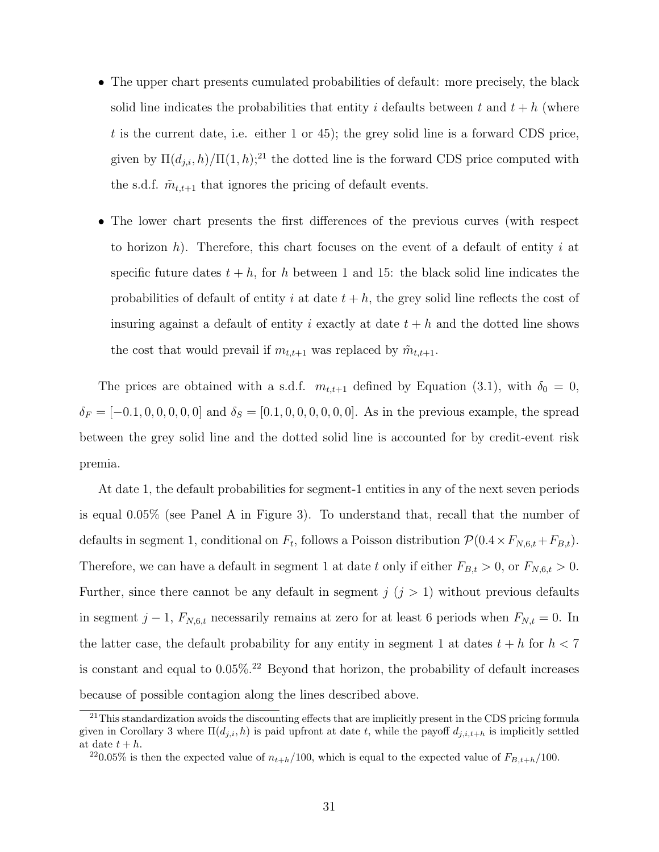- The upper chart presents cumulated probabilities of default: more precisely, the black solid line indicates the probabilities that entity i defaults between t and  $t + h$  (where t is the current date, i.e. either 1 or 45); the grey solid line is a forward CDS price, given by  $\Pi(d_{j,i},h)/\Pi(1,h);^{21}$  the dotted line is the forward CDS price computed with the s.d.f.  $\tilde{m}_{t,t+1}$  that ignores the pricing of default events.
- The lower chart presents the first differences of the previous curves (with respect to horizon  $h$ ). Therefore, this chart focuses on the event of a default of entity i at specific future dates  $t + h$ , for h between 1 and 15: the black solid line indicates the probabilities of default of entity i at date  $t + h$ , the grey solid line reflects the cost of insuring against a default of entity i exactly at date  $t + h$  and the dotted line shows the cost that would prevail if  $m_{t,t+1}$  was replaced by  $\tilde{m}_{t,t+1}$ .

The prices are obtained with a s.d.f.  $m_{t,t+1}$  defined by Equation (3.1), with  $\delta_0 = 0$ ,  $\delta_F = [-0.1, 0, 0, 0, 0, 0]$  and  $\delta_S = [0.1, 0, 0, 0, 0, 0, 0]$ . As in the previous example, the spread between the grey solid line and the dotted solid line is accounted for by credit-event risk premia.

At date 1, the default probabilities for segment-1 entities in any of the next seven periods is equal 0.05% (see Panel A in Figure 3). To understand that, recall that the number of defaults in segment 1, conditional on  $F_t$ , follows a Poisson distribution  $\mathcal{P}(0.4 \times F_{N,6,t} + F_{B,t})$ . Therefore, we can have a default in segment 1 at date t only if either  $F_{B,t} > 0$ , or  $F_{N,6,t} > 0$ . Further, since there cannot be any default in segment  $j$   $(j > 1)$  without previous defaults in segment j − 1,  $F_{N,6,t}$  necessarily remains at zero for at least 6 periods when  $F_{N,t} = 0$ . In the latter case, the default probability for any entity in segment 1 at dates  $t + h$  for  $h < 7$ is constant and equal to  $0.05\%$ .<sup>22</sup> Beyond that horizon, the probability of default increases because of possible contagion along the lines described above.

<sup>&</sup>lt;sup>21</sup>This standardization avoids the discounting effects that are implicitly present in the CDS pricing formula given in Corollary 3 where  $\Pi(d_{j,i}, h)$  is paid upfront at date t, while the payoff  $d_{j,i,t+h}$  is implicitly settled at date  $t + h$ .

<sup>&</sup>lt;sup>22</sup>0.05% is then the expected value of  $n_{t+h}/100$ , which is equal to the expected value of  $F_{B,t+h}/100$ .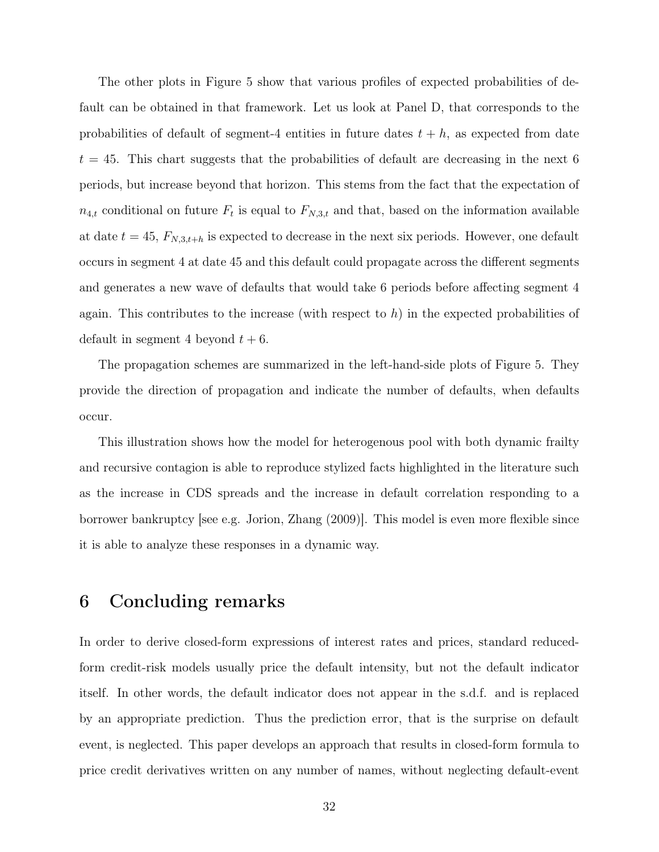The other plots in Figure 5 show that various profiles of expected probabilities of default can be obtained in that framework. Let us look at Panel D, that corresponds to the probabilities of default of segment-4 entities in future dates  $t + h$ , as expected from date  $t = 45$ . This chart suggests that the probabilities of default are decreasing in the next 6 periods, but increase beyond that horizon. This stems from the fact that the expectation of  $n_{4,t}$  conditional on future  $F_t$  is equal to  $F_{N,3,t}$  and that, based on the information available at date  $t = 45$ ,  $F_{N,3,t+h}$  is expected to decrease in the next six periods. However, one default occurs in segment 4 at date 45 and this default could propagate across the different segments and generates a new wave of defaults that would take 6 periods before affecting segment 4 again. This contributes to the increase (with respect to  $h$ ) in the expected probabilities of default in segment 4 beyond  $t + 6$ .

The propagation schemes are summarized in the left-hand-side plots of Figure 5. They provide the direction of propagation and indicate the number of defaults, when defaults occur.

This illustration shows how the model for heterogenous pool with both dynamic frailty and recursive contagion is able to reproduce stylized facts highlighted in the literature such as the increase in CDS spreads and the increase in default correlation responding to a borrower bankruptcy [see e.g. Jorion, Zhang (2009)]. This model is even more flexible since it is able to analyze these responses in a dynamic way.

## 6 Concluding remarks

In order to derive closed-form expressions of interest rates and prices, standard reducedform credit-risk models usually price the default intensity, but not the default indicator itself. In other words, the default indicator does not appear in the s.d.f. and is replaced by an appropriate prediction. Thus the prediction error, that is the surprise on default event, is neglected. This paper develops an approach that results in closed-form formula to price credit derivatives written on any number of names, without neglecting default-event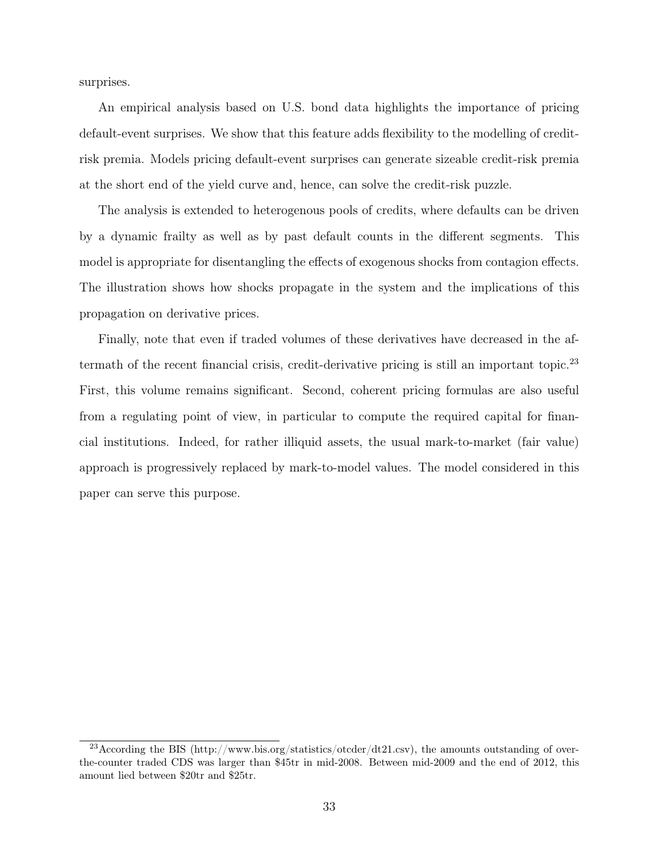surprises.

An empirical analysis based on U.S. bond data highlights the importance of pricing default-event surprises. We show that this feature adds flexibility to the modelling of creditrisk premia. Models pricing default-event surprises can generate sizeable credit-risk premia at the short end of the yield curve and, hence, can solve the credit-risk puzzle.

The analysis is extended to heterogenous pools of credits, where defaults can be driven by a dynamic frailty as well as by past default counts in the different segments. This model is appropriate for disentangling the effects of exogenous shocks from contagion effects. The illustration shows how shocks propagate in the system and the implications of this propagation on derivative prices.

Finally, note that even if traded volumes of these derivatives have decreased in the aftermath of the recent financial crisis, credit-derivative pricing is still an important topic.<sup>23</sup> First, this volume remains significant. Second, coherent pricing formulas are also useful from a regulating point of view, in particular to compute the required capital for financial institutions. Indeed, for rather illiquid assets, the usual mark-to-market (fair value) approach is progressively replaced by mark-to-model values. The model considered in this paper can serve this purpose.

<sup>&</sup>lt;sup>23</sup>According the BIS (http://www.bis.org/statistics/otcder/dt21.csv), the amounts outstanding of overthe-counter traded CDS was larger than \$45tr in mid-2008. Between mid-2009 and the end of 2012, this amount lied between \$20tr and \$25tr.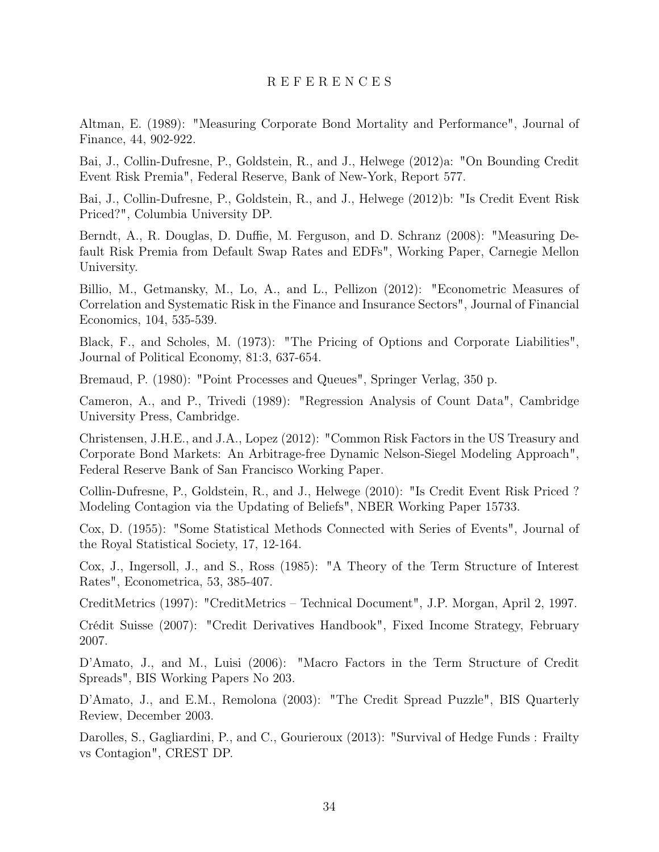#### R E F E R E N C E S

Altman, E. (1989): "Measuring Corporate Bond Mortality and Performance", Journal of Finance, 44, 902-922.

Bai, J., Collin-Dufresne, P., Goldstein, R., and J., Helwege (2012)a: "On Bounding Credit Event Risk Premia", Federal Reserve, Bank of New-York, Report 577.

Bai, J., Collin-Dufresne, P., Goldstein, R., and J., Helwege (2012)b: "Is Credit Event Risk Priced?", Columbia University DP.

Berndt, A., R. Douglas, D. Duffie, M. Ferguson, and D. Schranz (2008): "Measuring Default Risk Premia from Default Swap Rates and EDFs", Working Paper, Carnegie Mellon University.

Billio, M., Getmansky, M., Lo, A., and L., Pellizon (2012): "Econometric Measures of Correlation and Systematic Risk in the Finance and Insurance Sectors", Journal of Financial Economics, 104, 535-539.

Black, F., and Scholes, M. (1973): "The Pricing of Options and Corporate Liabilities", Journal of Political Economy, 81:3, 637-654.

Bremaud, P. (1980): "Point Processes and Queues", Springer Verlag, 350 p.

Cameron, A., and P., Trivedi (1989): "Regression Analysis of Count Data", Cambridge University Press, Cambridge.

Christensen, J.H.E., and J.A., Lopez (2012): "Common Risk Factors in the US Treasury and Corporate Bond Markets: An Arbitrage-free Dynamic Nelson-Siegel Modeling Approach", Federal Reserve Bank of San Francisco Working Paper.

Collin-Dufresne, P., Goldstein, R., and J., Helwege (2010): "Is Credit Event Risk Priced ? Modeling Contagion via the Updating of Beliefs", NBER Working Paper 15733.

Cox, D. (1955): "Some Statistical Methods Connected with Series of Events", Journal of the Royal Statistical Society, 17, 12-164.

Cox, J., Ingersoll, J., and S., Ross (1985): "A Theory of the Term Structure of Interest Rates", Econometrica, 53, 385-407.

CreditMetrics (1997): "CreditMetrics – Technical Document", J.P. Morgan, April 2, 1997.

Crédit Suisse (2007): "Credit Derivatives Handbook", Fixed Income Strategy, February 2007.

D'Amato, J., and M., Luisi (2006): "Macro Factors in the Term Structure of Credit Spreads", BIS Working Papers No 203.

D'Amato, J., and E.M., Remolona (2003): "The Credit Spread Puzzle", BIS Quarterly Review, December 2003.

Darolles, S., Gagliardini, P., and C., Gourieroux (2013): "Survival of Hedge Funds : Frailty vs Contagion", CREST DP.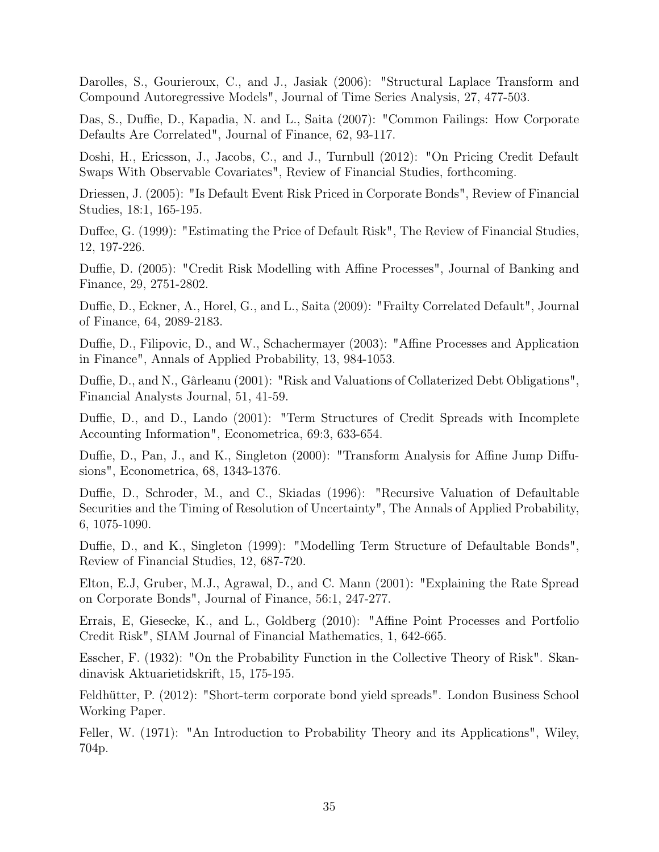Darolles, S., Gourieroux, C., and J., Jasiak  $(2006)$ : "Structural Laplace Transform and Compound Autoregressive Models", Journal of Time Series Analysis, 27, 477-503.

Das, S., Duffie, D., Kapadia, N. and L., Saita (2007): "Common Failings: How Corporate Defaults Are Correlated", Journal of Finance, 62, 93-117.

Doshi, H., Ericsson, J., Jacobs, C., and J., Turnbull (2012): "On Pricing Credit Default Swaps With Observable Covariates", Review of Financial Studies, forthcoming.

Driessen, J. (2005): "Is Default Event Risk Priced in Corporate Bonds", Review of Financial Studies, 18:1, 165-195.

Duffee, G. (1999): "Estimating the Price of Default Risk", The Review of Financial Studies, 12, 197-226.

Duffie, D. (2005): "Credit Risk Modelling with Affine Processes", Journal of Banking and Finance, 29, 2751-2802.

Duffie, D., Eckner, A., Horel, G., and L., Saita (2009): "Frailty Correlated Default", Journal of Finance, 64, 2089-2183.

Duffie, D., Filipovic, D., and W., Schachermayer (2003): "Affine Processes and Application in Finance", Annals of Applied Probability, 13, 984-1053.

Duffie, D., and N., Gârleanu (2001): "Risk and Valuations of Collaterized Debt Obligations", Financial Analysts Journal, 51, 41-59.

Duffie, D., and D., Lando (2001): "Term Structures of Credit Spreads with Incomplete Accounting Information", Econometrica, 69:3, 633-654.

Duffie, D., Pan, J., and K., Singleton (2000): "Transform Analysis for Affine Jump Diffusions", Econometrica, 68, 1343-1376.

Duffie, D., Schroder, M., and C., Skiadas (1996): "Recursive Valuation of Defaultable Securities and the Timing of Resolution of Uncertainty", The Annals of Applied Probability, 6, 1075-1090.

Duffie, D., and K., Singleton (1999): "Modelling Term Structure of Defaultable Bonds", Review of Financial Studies, 12, 687-720.

Elton, E.J, Gruber, M.J., Agrawal, D., and C. Mann (2001): "Explaining the Rate Spread on Corporate Bonds", Journal of Finance, 56:1, 247-277.

Errais, E, Giesecke, K., and L., Goldberg (2010): "Affine Point Processes and Portfolio Credit Risk", SIAM Journal of Financial Mathematics, 1, 642-665.

Esscher, F. (1932): "On the Probability Function in the Collective Theory of Risk". Skandinavisk Aktuarietidskrift, 15, 175-195.

Feldhütter, P. (2012): "Short-term corporate bond yield spreads". London Business School Working Paper.

Feller, W. (1971): "An Introduction to Probability Theory and its Applications", Wiley, 704p.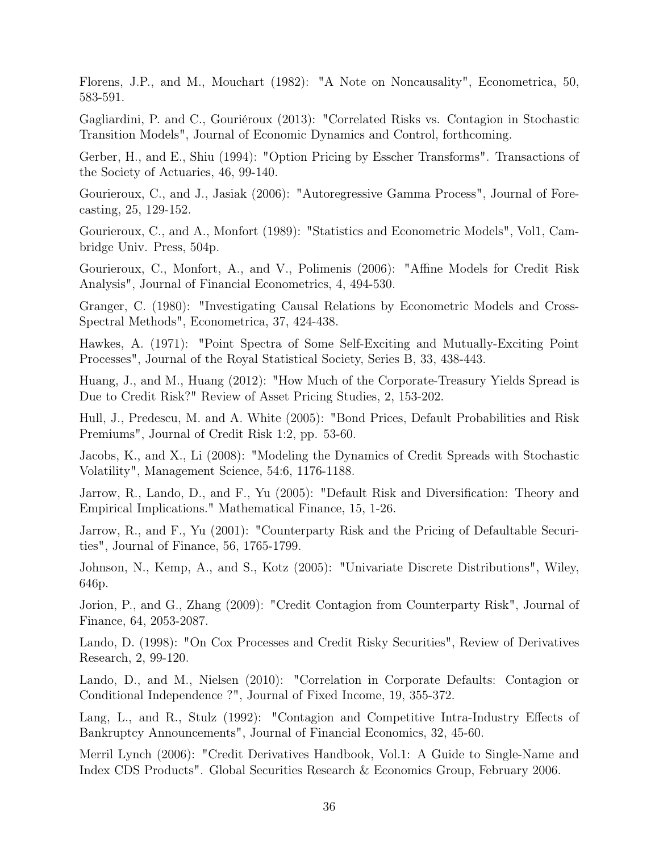Florens, J.P., and M., Mouchart (1982): "A Note on Noncausality", Econometrica, 50, 583-591.

Gagliardini, P. and C., Gouriéroux (2013): "Correlated Risks vs. Contagion in Stochastic Transition Models", Journal of Economic Dynamics and Control, forthcoming.

Gerber, H., and E., Shiu (1994): "Option Pricing by Esscher Transforms". Transactions of the Society of Actuaries, 46, 99-140.

Gourieroux, C., and J., Jasiak (2006): "Autoregressive Gamma Process", Journal of Forecasting, 25, 129-152.

Gourieroux, C., and A., Monfort (1989): "Statistics and Econometric Models", Vol1, Cambridge Univ. Press, 504p.

Gourieroux, C., Monfort, A., and V., Polimenis (2006): "Affine Models for Credit Risk Analysis", Journal of Financial Econometrics, 4, 494-530.

Granger, C. (1980): "Investigating Causal Relations by Econometric Models and Cross-Spectral Methods", Econometrica, 37, 424-438.

Hawkes, A. (1971): "Point Spectra of Some Self-Exciting and Mutually-Exciting Point Processes", Journal of the Royal Statistical Society, Series B, 33, 438-443.

Huang, J., and M., Huang (2012): "How Much of the Corporate-Treasury Yields Spread is Due to Credit Risk?" Review of Asset Pricing Studies, 2, 153-202.

Hull, J., Predescu, M. and A. White (2005): "Bond Prices, Default Probabilities and Risk Premiums", Journal of Credit Risk 1:2, pp. 53-60.

Jacobs, K., and X., Li (2008): "Modeling the Dynamics of Credit Spreads with Stochastic Volatility", Management Science, 54:6, 1176-1188.

Jarrow, R., Lando, D., and F., Yu (2005): "Default Risk and Diversification: Theory and Empirical Implications." Mathematical Finance, 15, 1-26.

Jarrow, R., and F., Yu (2001): "Counterparty Risk and the Pricing of Defaultable Securities", Journal of Finance, 56, 1765-1799.

Johnson, N., Kemp, A., and S., Kotz (2005): "Univariate Discrete Distributions", Wiley, 646p.

Jorion, P., and G., Zhang (2009): "Credit Contagion from Counterparty Risk", Journal of Finance, 64, 2053-2087.

Lando, D. (1998): "On Cox Processes and Credit Risky Securities", Review of Derivatives Research, 2, 99-120.

Lando, D., and M., Nielsen (2010): "Correlation in Corporate Defaults: Contagion or Conditional Independence ?", Journal of Fixed Income, 19, 355-372.

Lang, L., and R., Stulz (1992): "Contagion and Competitive Intra-Industry Effects of Bankruptcy Announcements", Journal of Financial Economics, 32, 45-60.

Merril Lynch (2006): "Credit Derivatives Handbook, Vol.1: A Guide to Single-Name and Index CDS Products". Global Securities Research & Economics Group, February 2006.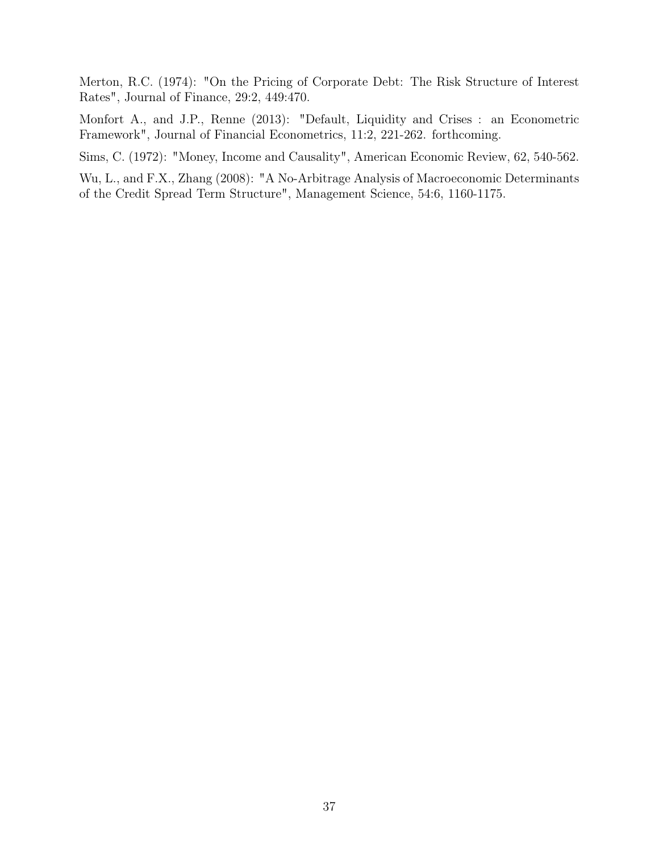Merton, R.C. (1974): "On the Pricing of Corporate Debt: The Risk Structure of Interest Rates", Journal of Finance, 29:2, 449:470.

Monfort A., and J.P., Renne (2013): "Default, Liquidity and Crises : an Econometric Framework", Journal of Financial Econometrics, 11:2, 221-262. forthcoming.

Sims, C. (1972): "Money, Income and Causality", American Economic Review, 62, 540-562.

Wu, L., and F.X., Zhang (2008): "A No-Arbitrage Analysis of Macroeconomic Determinants of the Credit Spread Term Structure", Management Science, 54:6, 1160-1175.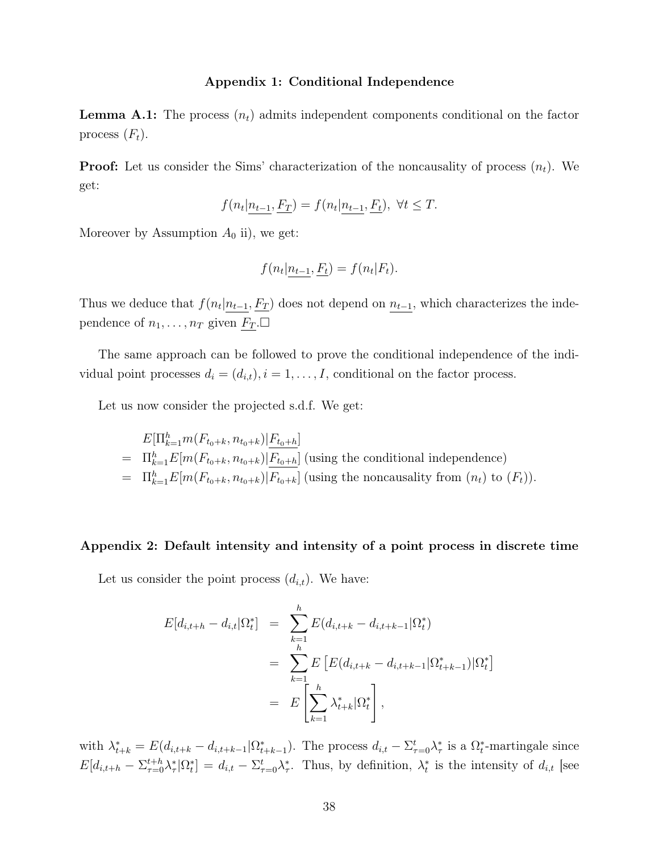#### Appendix 1: Conditional Independence

**Lemma A.1:** The process  $(n_t)$  admits independent components conditional on the factor process  $(F_t)$ .

**Proof:** Let us consider the Sims' characterization of the noncausality of process  $(n_t)$ . We get:

$$
f(n_t | \underline{n_{t-1}}, \underline{F_T}) = f(n_t | \underline{n_{t-1}}, \underline{F_t}), \ \forall t \leq T.
$$

Moreover by Assumption  $A_0$  ii), we get:

$$
f(n_t|n_{t-1}, F_t) = f(n_t|F_t).
$$

Thus we deduce that  $f(n_t|n_{t-1}, F_T)$  does not depend on  $n_{t-1}$ , which characterizes the independence of  $n_1, \ldots, n_T$  given  $F_T \square$ 

The same approach can be followed to prove the conditional independence of the individual point processes  $d_i = (d_{i,t}), i = 1, \ldots, I$ , conditional on the factor process.

Let us now consider the projected s.d.f. We get:

$$
E[\Pi_{k=1}^h m(F_{t_0+k}, n_{t_0+k}) | F_{t_0+h}]
$$
  
=  $\Pi_{k=1}^h E[m(F_{t_0+k}, n_{t_0+k}) | \overline{F_{t_0+h}}]$  (using the conditional independence)  
=  $\Pi_{k=1}^h E[m(F_{t_0+k}, n_{t_0+k}) | F_{t_0+k}]$  (using the noncausality from  $(n_t)$  to  $(F_t)$ ).

#### Appendix 2: Default intensity and intensity of a point process in discrete time

Let us consider the point process  $(d_{i,t})$ . We have:

$$
E[d_{i,t+h} - d_{i,t}|\Omega_t^*] = \sum_{k=1}^h E(d_{i,t+k} - d_{i,t+k-1}|\Omega_t^*)
$$
  
= 
$$
\sum_{k=1}^h E\left[E(d_{i,t+k} - d_{i,t+k-1}|\Omega_{t+k-1}^*)|\Omega_t^*\right]
$$
  
= 
$$
E\left[\sum_{k=1}^h \lambda_{t+k}^*|\Omega_t^*\right],
$$

with  $\lambda_{t+k}^* = E(d_{i,t+k} - d_{i,t+k-1} | \Omega_{t+k-1}^*)$ . The process  $d_{i,t} - \Sigma_{\tau=0}^t \lambda_{\tau}^*$  is a  $\Omega_t^*$ -martingale since  $E[d_{i,t+h} - \sum_{\tau=0}^{t+h} \lambda_{\tau}^* | \Omega_t^*] = d_{i,t} - \sum_{\tau=0}^{t} \lambda_{\tau}^*$ . Thus, by definition,  $\lambda_t^*$  is the intensity of  $d_{i,t}$  [see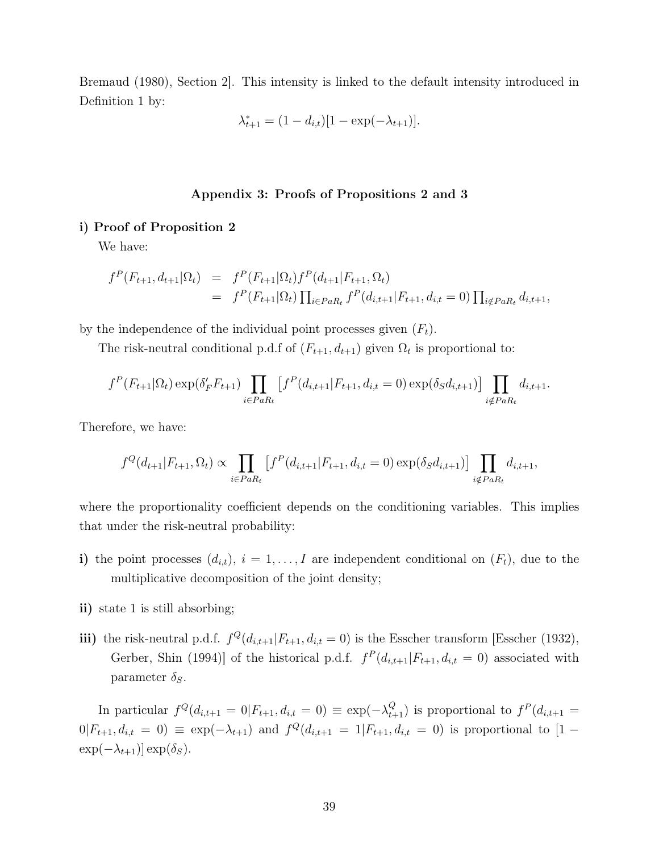Bremaud (1980), Section 2]. This intensity is linked to the default intensity introduced in Definition 1 by:

$$
\lambda_{t+1}^* = (1 - d_{i,t})[1 - \exp(-\lambda_{t+1})].
$$

#### Appendix 3: Proofs of Propositions 2 and 3

#### i) Proof of Proposition 2

We have:

$$
f^{P}(F_{t+1}, d_{t+1}|\Omega_{t}) = f^{P}(F_{t+1}|\Omega_{t})f^{P}(d_{t+1}|F_{t+1}, \Omega_{t})
$$
  
=  $f^{P}(F_{t+1}|\Omega_{t})\prod_{i\in PaR_{t}}f^{P}(d_{i,t+1}|F_{t+1}, d_{i,t}=0)\prod_{i\notin PaR_{t}}d_{i,t+1},$ 

by the independence of the individual point processes given  $(F_t)$ .

The risk-neutral conditional p.d.f of  $(F_{t+1}, d_{t+1})$  given  $\Omega_t$  is proportional to:

$$
f^{P}(F_{t+1}|\Omega_{t}) \exp(\delta'_{F}F_{t+1}) \prod_{i\in PaR_{t}} \left[ f^{P}(d_{i,t+1}|F_{t+1}, d_{i,t} = 0) \exp(\delta_{S}d_{i,t+1}) \right] \prod_{i\notin PaR_{t}} d_{i,t+1}.
$$

Therefore, we have:

$$
f^{Q}(d_{t+1}|F_{t+1},\Omega_t) \propto \prod_{i \in PaR_t} \left[ f^P(d_{i,t+1}|F_{t+1},d_{i,t}=0) \exp(\delta_S d_{i,t+1}) \right] \prod_{i \notin PaR_t} d_{i,t+1},
$$

where the proportionality coefficient depends on the conditioning variables. This implies that under the risk-neutral probability:

- i) the point processes  $(d_{i,t}), i = 1, \ldots, I$  are independent conditional on  $(F_t)$ , due to the multiplicative decomposition of the joint density;
- ii) state 1 is still absorbing;
- iii) the risk-neutral p.d.f.  $f^Q(d_{i,t+1}|F_{t+1}, d_{i,t} = 0)$  is the Esscher transform [Esscher (1932), Gerber, Shin (1994)] of the historical p.d.f.  $f^P(d_{i,t+1}|F_{t+1}, d_{i,t} = 0)$  associated with parameter  $\delta_S$ .

In particular  $f^Q(d_{i,t+1} = 0 | F_{t+1}, d_{i,t} = 0) \equiv \exp(-\lambda_{t+1}^Q)$  is proportional to  $f^P(d_{i,t+1} = 0)$  $0|F_{t+1}, d_{i,t} = 0$  =  $\exp(-\lambda_{t+1})$  and  $f^{\mathcal{Q}}(d_{i,t+1} = 1|F_{t+1}, d_{i,t} = 0)$  is proportional to [1 –  $\exp(-\lambda_{t+1})] \exp(\delta_S)$ .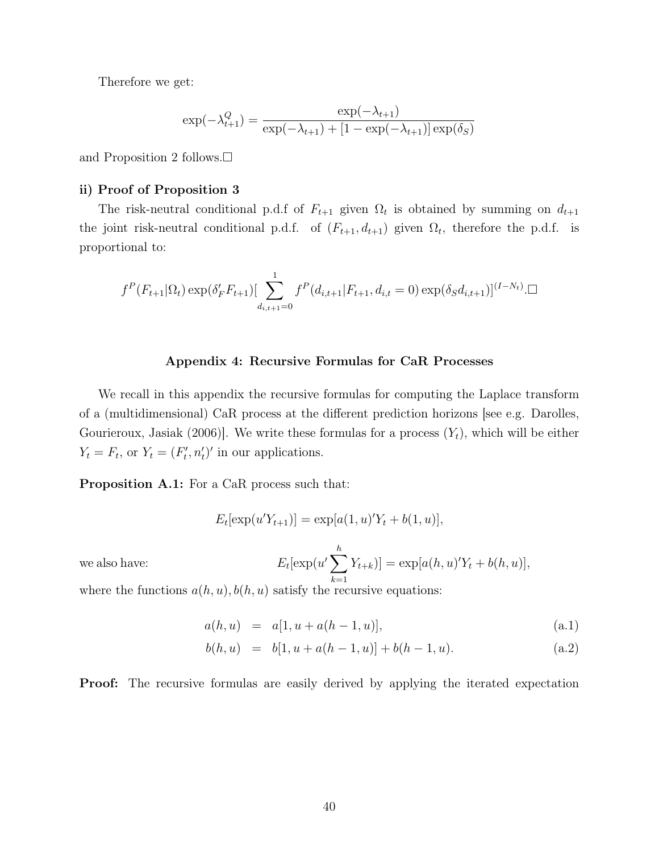Therefore we get:

$$
\exp(-\lambda_{t+1}^{Q}) = \frac{\exp(-\lambda_{t+1})}{\exp(-\lambda_{t+1}) + [1 - \exp(-\lambda_{t+1})] \exp(\delta_{S})}
$$

and Proposition 2 follows.

#### ii) Proof of Proposition 3

The risk-neutral conditional p.d.f of  $F_{t+1}$  given  $\Omega_t$  is obtained by summing on  $d_{t+1}$ the joint risk-neutral conditional p.d.f. of  $(F_{t+1}, d_{t+1})$  given  $\Omega_t$ , therefore the p.d.f. is proportional to:

$$
f^{P}(F_{t+1}|\Omega_{t}) \exp(\delta'_{F}F_{t+1}) \Big[\sum_{d_{i,t+1}=0}^{1} f^{P}(d_{i,t+1}|F_{t+1}, d_{i,t}=0) \exp(\delta_{S}d_{i,t+1})\Big]^{(I-N_{t})}.\square
$$

#### Appendix 4: Recursive Formulas for CaR Processes

We recall in this appendix the recursive formulas for computing the Laplace transform of a (multidimensional) CaR process at the different prediction horizons [see e.g. Darolles, Gourieroux, Jasiak (2006). We write these formulas for a process  $(Y_t)$ , which will be either  $Y_t = F_t$ , or  $Y_t = (F'_t, n'_t)'$  in our applications.

Proposition A.1: For a CaR process such that:

$$
E_t[\exp(u'Y_{t+1})] = \exp[a(1, u)'Y_t + b(1, u)],
$$

we also have:  $\qquad \qquad$   $\qquad \qquad$   $\qquad$   $\qquad$   $\qquad$   $\qquad$   $\qquad$   $\qquad$   $\qquad$   $\qquad$   $\qquad$   $\qquad$   $\qquad$   $\qquad$   $\qquad$   $\qquad$   $\qquad$   $\qquad$   $\qquad$   $\qquad$   $\qquad$   $\qquad$   $\qquad$   $\qquad$   $\qquad$   $\qquad$   $\qquad$   $\qquad$   $\qquad$   $\qquad$   $\qquad$   $\qquad$   $\qquad$   $\q$ 

$$
E_t[\exp(u'\sum_{k=1}^h Y_{t+k})] = \exp[a(h, u)Y_t + b(h, u)],
$$

where the functions  $a(h, u), b(h, u)$  satisfy the recursive equations:

$$
a(h, u) = a[1, u + a(h - 1, u)], \qquad (a.1)
$$

$$
b(h, u) = b[1, u + a(h - 1, u)] + b(h - 1, u). \tag{a.2}
$$

**Proof:** The recursive formulas are easily derived by applying the iterated expectation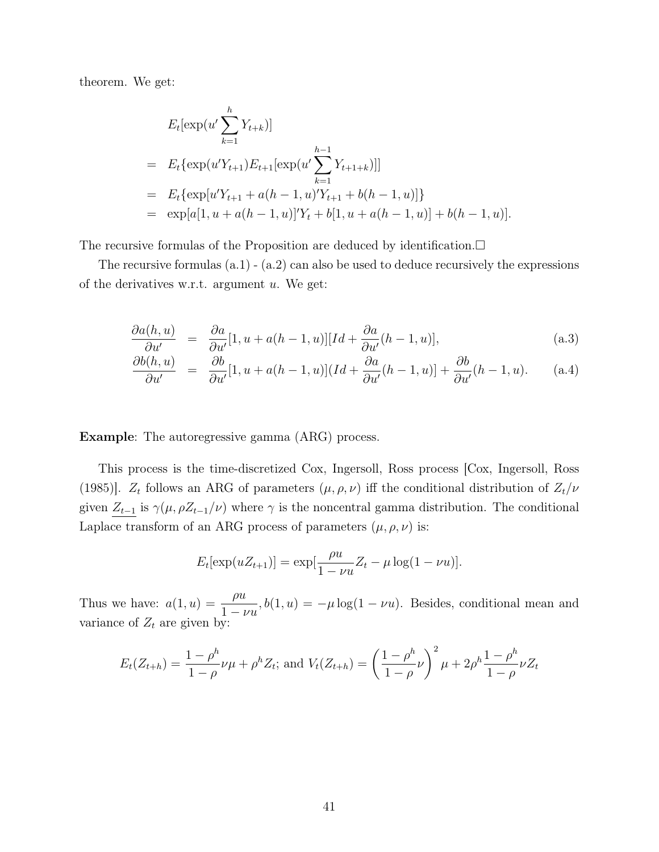theorem. We get:

$$
E_t[\exp(u'\sum_{k=1}^h Y_{t+k})]
$$
  
=  $E_t\{\exp(u'Y_{t+1})E_{t+1}[\exp(u'\sum_{k=1}^{h-1} Y_{t+1+k})]]$   
=  $E_t\{\exp[u'Y_{t+1} + a(h-1, u)Y_{t+1} + b(h-1, u)]\}$   
=  $\exp[a[1, u + a(h-1, u)]'Y_t + b[1, u + a(h-1, u)] + b(h-1, u)].$ 

The recursive formulas of the Proposition are deduced by identification.  $\Box$ 

The recursive formulas  $(a.1)$  -  $(a.2)$  can also be used to deduce recursively the expressions of the derivatives w.r.t. argument  $u$ . We get:

$$
\frac{\partial a(h, u)}{\partial u'} = \frac{\partial a}{\partial u'}[1, u + a(h - 1, u)][Id + \frac{\partial a}{\partial u'}(h - 1, u)],
$$
\n(a.3)

$$
\frac{\partial b(h, u)}{\partial u'} = \frac{\partial b}{\partial u'} [1, u + a(h - 1, u)] (Id + \frac{\partial a}{\partial u'} (h - 1, u)] + \frac{\partial b}{\partial u'} (h - 1, u). \tag{a.4}
$$

Example: The autoregressive gamma (ARG) process.

This process is the time-discretized Cox, Ingersoll, Ross process [Cox, Ingersoll, Ross (1985)].  $Z_t$  follows an ARG of parameters  $(\mu, \rho, \nu)$  iff the conditional distribution of  $Z_t/\nu$ given  $\underline{Z_{t-1}}$  is  $\gamma(\mu, \rho Z_{t-1}/\nu)$  where  $\gamma$  is the noncentral gamma distribution. The conditional Laplace transform of an ARG process of parameters  $(\mu, \rho, \nu)$  is:

$$
E_t[\exp(uZ_{t+1})] = \exp[\frac{\rho u}{1 - \nu u}Z_t - \mu \log(1 - \nu u)].
$$

Thus we have:  $a(1, u) = \frac{\rho u}{1}$  $1 - \nu u$  $, b(1, u) = -\mu \log(1 - \nu u)$ . Besides, conditional mean and variance of  $Z_t$  are given by:

$$
E_t(Z_{t+h}) = \frac{1-\rho^h}{1-\rho}\nu\mu + \rho^h Z_t; \text{ and } V_t(Z_{t+h}) = \left(\frac{1-\rho^h}{1-\rho}\nu\right)^2 \mu + 2\rho^h \frac{1-\rho^h}{1-\rho}\nu Z_t
$$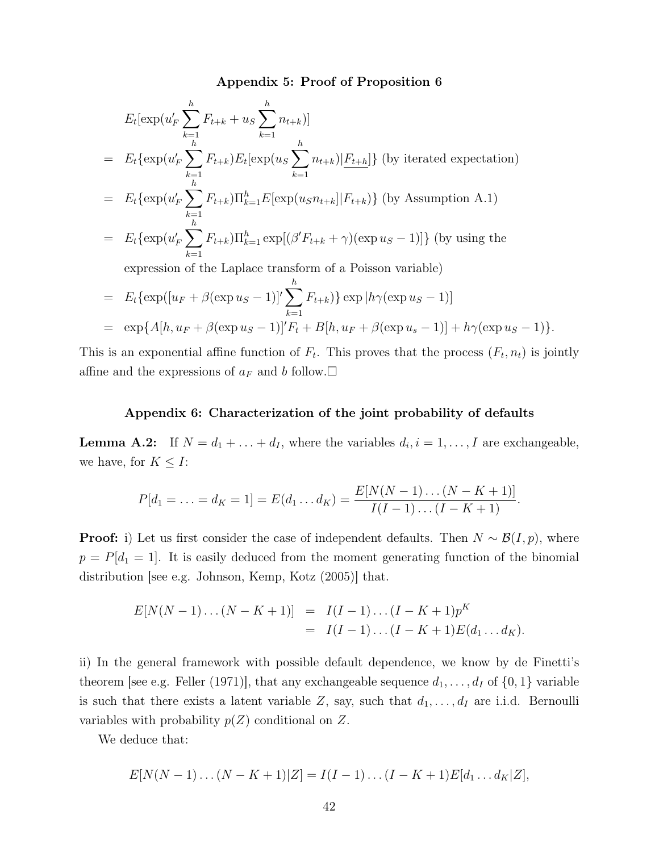#### Appendix 5: Proof of Proposition 6

$$
E_t[\exp(u'_F \sum_{k=1}^h F_{t+k} + u_S \sum_{k=1}^h n_{t+k})]
$$
  
=  $E_t\{\exp(u'_F \sum_{k=1}^h F_{t+k})E_t[\exp(u_S \sum_{k=1}^h n_{t+k})|F_{t+h}]\}\text{ (by iterated expectation)}$   
=  $E_t\{\exp(u'_F \sum_{k=1}^h F_{t+k})\prod_{k=1}^h E[\exp(u_S n_{t+k}]|F_{t+k})\}\text{ (by Assumption A.1)}$   
=  $E_t\{\exp(u'_F \sum_{k=1}^h F_{t+k})\prod_{k=1}^h \exp[(\beta' F_{t+k} + \gamma)(\exp u_S - 1)]\}\text{ (by using the expression of the Laplace transform of a Poisson variable)}$   
=  $E_t\{\exp([u_F + \beta(\exp u_S - 1)]' \sum_{k=1}^h F_{t+k})\}\exp[h\gamma(\exp u_S - 1)]$   
=  $\exp\{A[h, u_F + \beta(\exp u_S - 1)]'F_t + B[h, u_F + \beta(\exp u_S - 1)] + h\gamma(\exp u_S - 1)\}.$ 

This is an exponential affine function of  $F_t$ . This proves that the process  $(F_t, n_t)$  is jointly affine and the expressions of  $a_F$  and b follow.  $\square$ 

#### Appendix 6: Characterization of the joint probability of defaults

**Lemma A.2:** If  $N = d_1 + \ldots + d_I$ , where the variables  $d_i, i = 1, \ldots, I$  are exchangeable, we have, for  $K \leq I$ :

$$
P[d_1 = \ldots = d_K = 1] = E(d_1 \ldots d_K) = \frac{E[N(N-1)\ldots(N-K+1)]}{I(I-1)\ldots(I-K+1)}.
$$

**Proof:** i) Let us first consider the case of independent defaults. Then  $N \sim \mathcal{B}(I, p)$ , where  $p = P[d_1 = 1]$ . It is easily deduced from the moment generating function of the binomial distribution [see e.g. Johnson, Kemp, Kotz (2005)] that.

$$
E[N(N-1)...(N-K+1)] = I(I-1)...(I-K+1)pK
$$
  
=  $I(I-1)...(I-K+1)E(d_1...d_K).$ 

ii) In the general framework with possible default dependence, we know by de Finetti's theorem [see e.g. Feller (1971)], that any exchangeable sequence  $d_1, \ldots, d_I$  of  $\{0, 1\}$  variable is such that there exists a latent variable Z, say, such that  $d_1, \ldots, d_I$  are i.i.d. Bernoulli variables with probability  $p(Z)$  conditional on Z.

We deduce that:

$$
E[N(N-1)...(N-K+1)|Z] = I(I-1)...(I-K+1)E[d_1...d_K|Z],
$$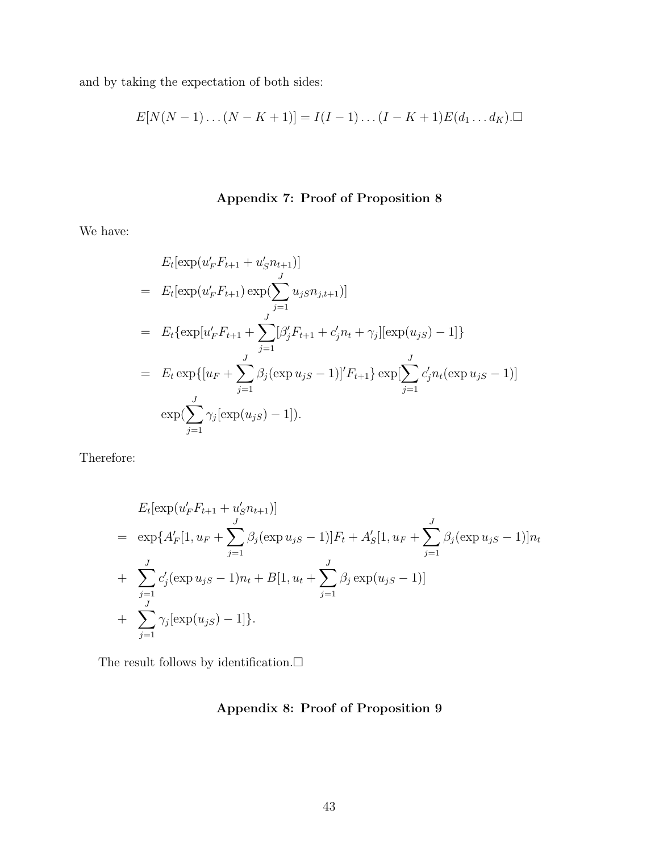and by taking the expectation of both sides:

$$
E[N(N-1)...(N-K+1)] = I(I-1)...(I-K+1)E(d_1...d_K) \square
$$

### Appendix 7: Proof of Proposition 8

We have:

$$
E_t[\exp(u'_F F_{t+1} + u'_S n_{t+1})]
$$
  
=  $E_t[\exp(u'_F F_{t+1}) \exp(\sum_{j=1}^J u_j s n_{j,t+1})]$   
=  $E_t \{ \exp[u'_F F_{t+1} + \sum_{j=1}^J [\beta'_j F_{t+1} + c'_j n_t + \gamma_j] [\exp(u_j s) - 1] \}$   
=  $E_t \exp\{ [u_F + \sum_{j=1}^J \beta_j (\exp u_j s - 1)]' F_{t+1} \} \exp[\sum_{j=1}^J c'_j n_t (\exp u_j s - 1)]$   
 $\exp(\sum_{j=1}^J \gamma_j [\exp(u_j s) - 1]).$ 

Therefore:

$$
E_t[\exp(u'_F F_{t+1} + u'_S n_{t+1})]
$$
  
=  $\exp\{A'_F[1, u_F + \sum_{j=1}^J \beta_j (\exp u_{jS} - 1)]F_t + A'_S[1, u_F + \sum_{j=1}^J \beta_j (\exp u_{jS} - 1)]n_t$   
+  $\sum_{j=1}^J c'_j (\exp u_{jS} - 1)n_t + B[1, u_t + \sum_{j=1}^J \beta_j \exp(u_{jS} - 1)]$   
+  $\sum_{j=1}^J \gamma_j [\exp(u_{jS}) - 1]\}.$ 

The result follows by identification.  $\Box$ 

### Appendix 8: Proof of Proposition 9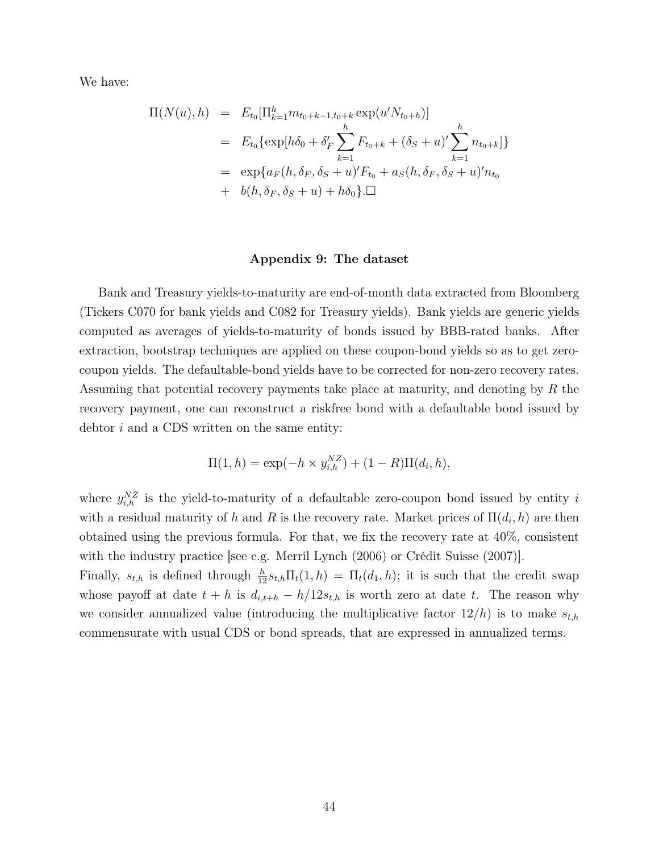We have:

$$
\Pi(N(u), h) = E_{t_0}[\Pi_{k=1}^h m_{t_0+k-1,t_0+k} \exp(u' N_{t_0+h})]
$$
\n
$$
= E_{t_0} \{ \exp[h\delta_0 + \delta'_F \sum_{k=1}^h F_{t_0+k} + (\delta_S + u)' \sum_{k=1}^h n_{t_0+k}] \}
$$
\n
$$
= \exp\{ a_F(h, \delta_F, \delta_S + u)' F_{t_0} + a_S(h, \delta_F, \delta_S + u)' n_{t_0} + b(h, \delta_F, \delta_S + u) + h\delta_0 \}.\square
$$

#### Appendix 9: The dataset

Bank and Treasury yields-to-maturity are end-of-month data extracted from Bloomberg (Tickers C070 for bank yields and C082 for Treasury yields). Bank yields are generic yields computed as averages of yields-to-maturity of bonds issued by BBB-rated banks. After extraction, bootstrap techniques are applied on these coupon-bond yields so as to get zerocoupon yields. The defaultable-bond yields have to be corrected for non-zero recovery rates. Assuming that potential recovery payments take place at maturity, and denoting by R the recovery payment, one can reconstruct a riskfree bond with a defaultable bond issued by debtor i and a CDS written on the same entity:

$$
\Pi(1, h) = \exp(-h \times y_{i,h}^{NZ}) + (1 - R)\Pi(d_i, h),
$$

where  $y_{i,h}^{NZ}$  is the yield-to-maturity of a defaultable zero-coupon bond issued by entity i with a residual maturity of h and R is the recovery rate. Market prices of  $\Pi(d_i, h)$  are then obtained using the previous formula. For that, we fix the recovery rate at 40%, consistent with the industry practice [see e.g. Merril Lynch (2006) or Crédit Suisse (2007)].

Finally,  $s_{t,h}$  is defined through  $\frac{h}{12} s_{t,h} \Pi_t(1,h) = \Pi_t(d_1,h)$ ; it is such that the credit swap whose payoff at date  $t + h$  is  $d_{i,t+h} - h/12s_{t,h}$  is worth zero at date t. The reason why we consider annualized value (introducing the multiplicative factor  $12/h$ ) is to make  $s_{t,h}$ commensurate with usual CDS or bond spreads, that are expressed in annualized terms.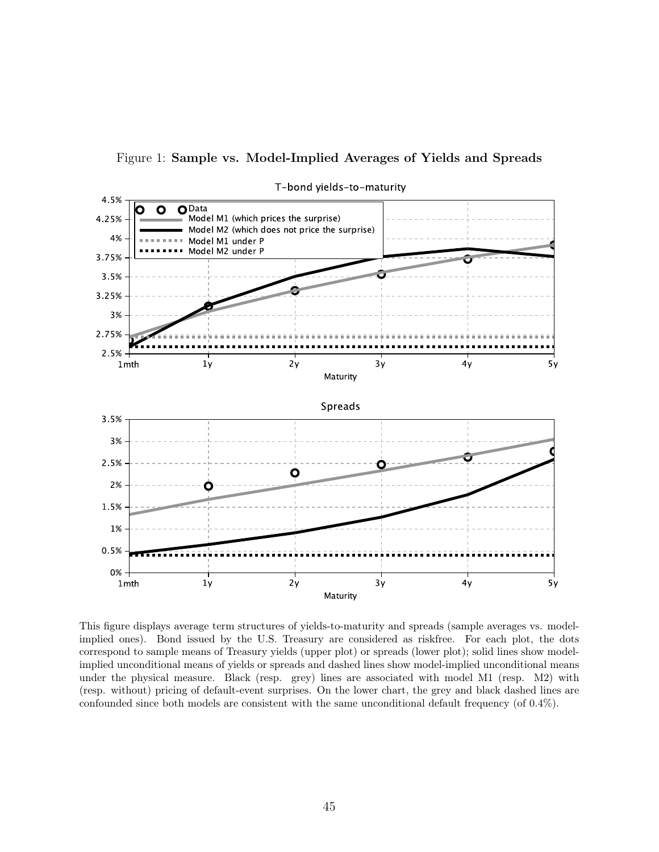



T-bond yields-to-maturity

This figure displays average term structures of yields-to-maturity and spreads (sample averages vs. modelimplied ones). Bond issued by the U.S. Treasury are considered as riskfree. For each plot, the dots correspond to sample means of Treasury yields (upper plot) or spreads (lower plot); solid lines show modelimplied unconditional means of yields or spreads and dashed lines show model-implied unconditional means under the physical measure. Black (resp. grey) lines are associated with model M1 (resp. M2) with (resp. without) pricing of default-event surprises. On the lower chart, the grey and black dashed lines are confounded since both models are consistent with the same unconditional default frequency (of 0.4%).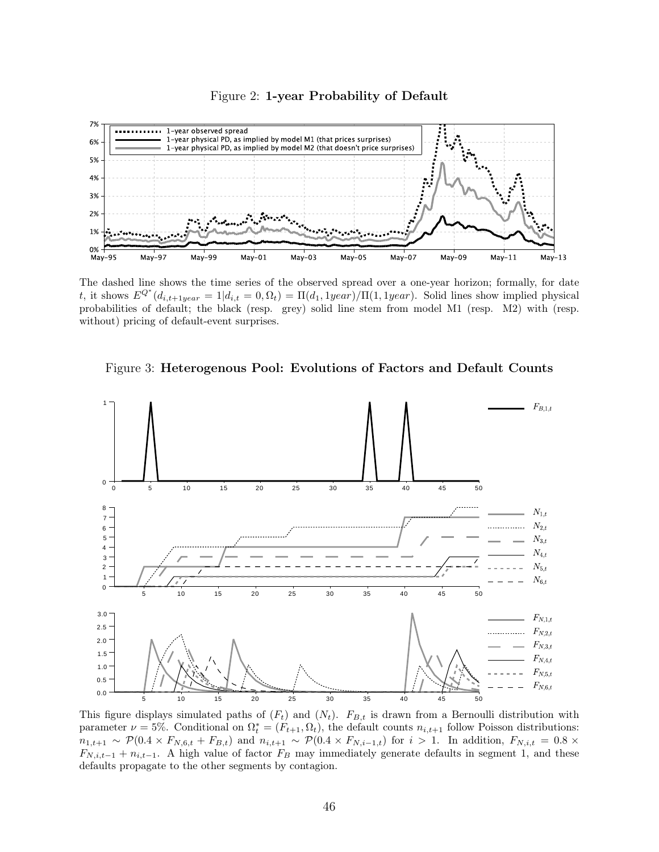

Figure 2: 1-year Probability of Default

The dashed line shows the time series of the observed spread over a one-year horizon; formally, for date t, it shows  $E^{Q^*}(d_{i,t+1year} = 1|d_{i,t} = 0, \Omega_t) = \Pi(d_1, 1year)/\Pi(1, 1year)$ . Solid lines show implied physical probabilities of default; the black (resp. grey) solid line stem from model M1 (resp. M2) with (resp. without) pricing of default-event surprises.

Figure 3: Heterogenous Pool: Evolutions of Factors and Default Counts



This figure displays simulated paths of  $(F_t)$  and  $(N_t)$ .  $F_{B,t}$  is drawn from a Bernoulli distribution with parameter  $\nu = 5\%$ . Conditional on  $\Omega_t^* = (F_{t+1}, \Omega_t)$ , the default counts  $n_{i,t+1}$  follow Poisson distributions:  $n_{1,t+1} \sim \mathcal{P}(0.4 \times F_{N,6,t} + F_{B,t})$  and  $n_{i,t+1} \sim \mathcal{P}(0.4 \times F_{N,i-1,t})$  for  $i > 1$ . In addition,  $F_{N,i,t} = 0.8 \times$  $F_{N,i,t-1} + n_{i,t-1}$ . A high value of factor  $F_B$  may immediately generate defaults in segment 1, and these defaults propagate to the other segments by contagion.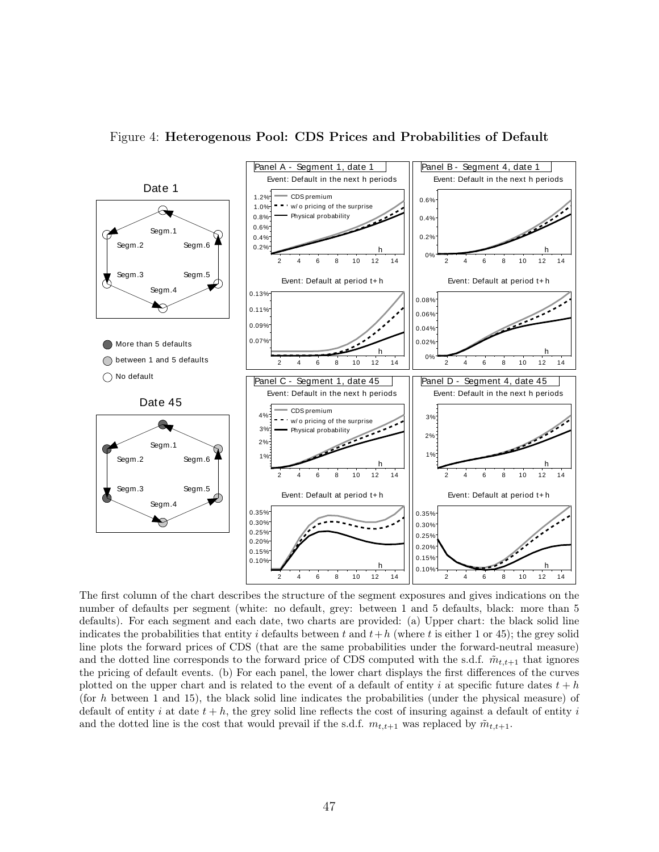

Figure 4: Heterogenous Pool: CDS Prices and Probabilities of Default

The first column of the chart describes the structure of the segment exposures and gives indications on the number of defaults per segment (white: no default, grey: between 1 and 5 defaults, black: more than 5 defaults). For each segment and each date, two charts are provided: (a) Upper chart: the black solid line indicates the probabilities that entity i defaults between t and  $t+h$  (where t is either 1 or 45); the grey solid line plots the forward prices of CDS (that are the same probabilities under the forward-neutral measure) and the dotted line corresponds to the forward price of CDS computed with the s.d.f.  $\tilde{m}_{t,t+1}$  that ignores the pricing of default events. (b) For each panel, the lower chart displays the first differences of the curves plotted on the upper chart and is related to the event of a default of entity i at specific future dates  $t + h$ (for h between 1 and 15), the black solid line indicates the probabilities (under the physical measure) of default of entity i at date  $t + h$ , the grey solid line reflects the cost of insuring against a default of entity i and the dotted line is the cost that would prevail if the s.d.f.  $m_{t,t+1}$  was replaced by  $\tilde{m}_{t,t+1}$ .